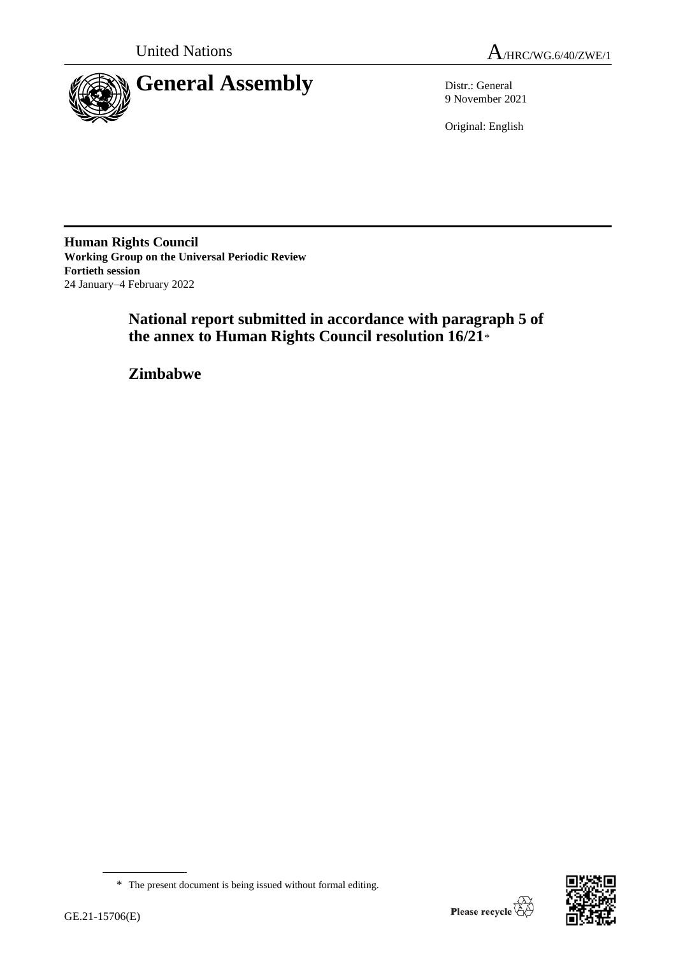



9 November 2021

Original: English

**Human Rights Council Working Group on the Universal Periodic Review Fortieth session** 24 January–4 February 2022

> **National report submitted in accordance with paragraph 5 of the annex to Human Rights Council resolution 16/21**\*

**Zimbabwe**



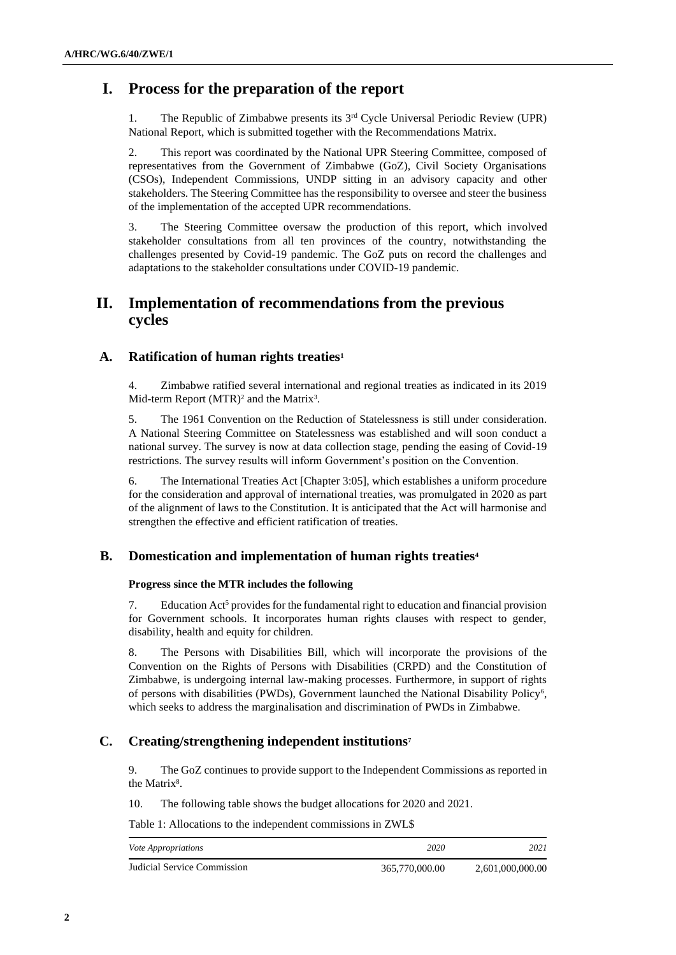# **I. Process for the preparation of the report**

1. The Republic of Zimbabwe presents its 3rd Cycle Universal Periodic Review (UPR) National Report, which is submitted together with the Recommendations Matrix.

2. This report was coordinated by the National UPR Steering Committee, composed of representatives from the Government of Zimbabwe (GoZ), Civil Society Organisations (CSOs), Independent Commissions, UNDP sitting in an advisory capacity and other stakeholders. The Steering Committee has the responsibility to oversee and steer the business of the implementation of the accepted UPR recommendations.

3. The Steering Committee oversaw the production of this report, which involved stakeholder consultations from all ten provinces of the country, notwithstanding the challenges presented by Covid-19 pandemic. The GoZ puts on record the challenges and adaptations to the stakeholder consultations under COVID-19 pandemic.

# **II. Implementation of recommendations from the previous cycles**

# **A. Ratification of human rights treaties<sup>1</sup>**

4. Zimbabwe ratified several international and regional treaties as indicated in its 2019 Mid-term Report (MTR)<sup>2</sup> and the Matrix<sup>3</sup>.

5. The 1961 Convention on the Reduction of Statelessness is still under consideration. A National Steering Committee on Statelessness was established and will soon conduct a national survey. The survey is now at data collection stage, pending the easing of Covid-19 restrictions. The survey results will inform Government's position on the Convention.

6. The International Treaties Act [Chapter 3:05], which establishes a uniform procedure for the consideration and approval of international treaties, was promulgated in 2020 as part of the alignment of laws to the Constitution. It is anticipated that the Act will harmonise and strengthen the effective and efficient ratification of treaties.

# **B. Domestication and implementation of human rights treaties<sup>4</sup>**

# **Progress since the MTR includes the following**

7. Education Act<sup>5</sup> provides for the fundamental right to education and financial provision for Government schools. It incorporates human rights clauses with respect to gender, disability, health and equity for children.

8. The Persons with Disabilities Bill, which will incorporate the provisions of the Convention on the Rights of Persons with Disabilities (CRPD) and the Constitution of Zimbabwe, is undergoing internal law-making processes. Furthermore, in support of rights of persons with disabilities (PWDs), Government launched the National Disability Policy<sup>6</sup> , which seeks to address the marginalisation and discrimination of PWDs in Zimbabwe.

# **C. Creating/strengthening independent institutions<sup>7</sup>**

9. The GoZ continues to provide support to the Independent Commissions as reported in the Matrix<sup>8</sup>.

10. The following table shows the budget allocations for 2020 and 2021.

Table 1: Allocations to the independent commissions in ZWL\$

| <i>Vote Appropriations</i>  | 2020           | 2021             |
|-----------------------------|----------------|------------------|
| Judicial Service Commission | 365,770,000.00 | 2,601,000,000.00 |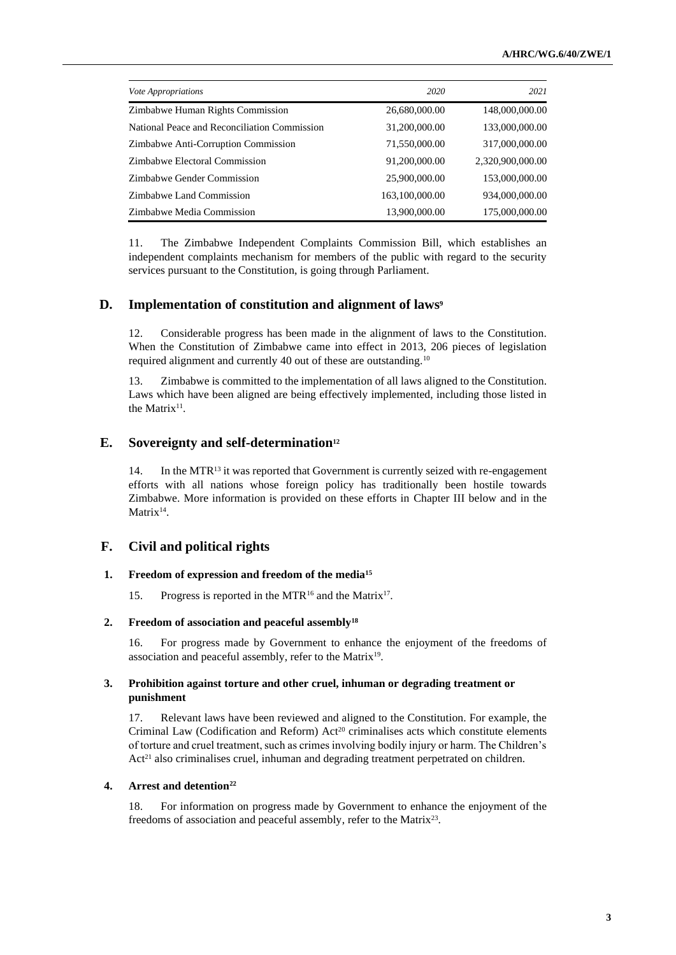| <i>Vote Appropriations</i>                   | 2020           | 2021             |
|----------------------------------------------|----------------|------------------|
| Zimbabwe Human Rights Commission             | 26,680,000.00  | 148,000,000.00   |
| National Peace and Reconciliation Commission | 31,200,000.00  | 133,000,000.00   |
| Zimbabwe Anti-Corruption Commission          | 71,550,000.00  | 317,000,000.00   |
| Zimbabwe Electoral Commission                | 91,200,000.00  | 2,320,900,000.00 |
| Zimbabwe Gender Commission                   | 25,900,000.00  | 153,000,000.00   |
| Zimbabwe Land Commission                     | 163,100,000.00 | 934,000,000.00   |
| Zimbabwe Media Commission                    | 13,900,000.00  | 175,000,000.00   |

11. The Zimbabwe Independent Complaints Commission Bill, which establishes an independent complaints mechanism for members of the public with regard to the security services pursuant to the Constitution, is going through Parliament.

# **D. Implementation of constitution and alignment of laws<sup>9</sup>**

12. Considerable progress has been made in the alignment of laws to the Constitution. When the Constitution of Zimbabwe came into effect in 2013, 206 pieces of legislation required alignment and currently 40 out of these are outstanding.<sup>10</sup>

13. Zimbabwe is committed to the implementation of all laws aligned to the Constitution. Laws which have been aligned are being effectively implemented, including those listed in the Matrix<sup>11</sup>.

# **E. Sovereignty and self-determination<sup>12</sup>**

14. In the MTR<sup>13</sup> it was reported that Government is currently seized with re-engagement efforts with all nations whose foreign policy has traditionally been hostile towards Zimbabwe. More information is provided on these efforts in Chapter III below and in the Matrix<sup>14</sup>.

# **F. Civil and political rights**

# **1. Freedom of expression and freedom of the media<sup>15</sup>**

15. Progress is reported in the MTR<sup>16</sup> and the Matrix<sup>17</sup>.

### **2. Freedom of association and peaceful assembly<sup>18</sup>**

16. For progress made by Government to enhance the enjoyment of the freedoms of association and peaceful assembly, refer to the Matrix<sup>19</sup>.

# **3. Prohibition against torture and other cruel, inhuman or degrading treatment or punishment**

17. Relevant laws have been reviewed and aligned to the Constitution. For example, the Criminal Law (Codification and Reform) Act <sup>20</sup> criminalises acts which constitute elements of torture and cruel treatment, such as crimes involving bodily injury or harm. The Children's  $Act<sup>21</sup>$  also criminalises cruel, inhuman and degrading treatment perpetrated on children.

# **4. Arrest and detention<sup>22</sup>**

18. For information on progress made by Government to enhance the enjoyment of the freedoms of association and peaceful assembly, refer to the Matrix<sup>23</sup>.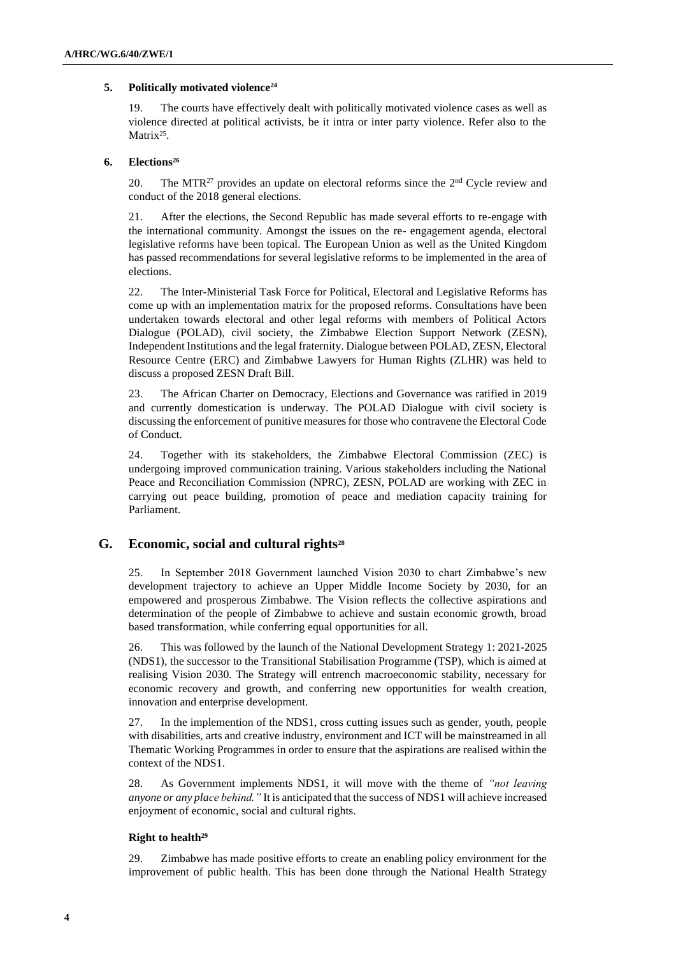### **5. Politically motivated violence<sup>24</sup>**

19. The courts have effectively dealt with politically motivated violence cases as well as violence directed at political activists, be it intra or inter party violence. Refer also to the Matrix<sup>25</sup>.

### **6. Elections<sup>26</sup>**

20. The MTR<sup>27</sup> provides an update on electoral reforms since the  $2<sup>nd</sup>$  Cycle review and conduct of the 2018 general elections.

21. After the elections, the Second Republic has made several efforts to re-engage with the international community. Amongst the issues on the re- engagement agenda, electoral legislative reforms have been topical. The European Union as well as the United Kingdom has passed recommendations for several legislative reforms to be implemented in the area of elections.

22. The Inter-Ministerial Task Force for Political, Electoral and Legislative Reforms has come up with an implementation matrix for the proposed reforms. Consultations have been undertaken towards electoral and other legal reforms with members of Political Actors Dialogue (POLAD), civil society, the Zimbabwe Election Support Network (ZESN), Independent Institutions and the legal fraternity. Dialogue between POLAD, ZESN, Electoral Resource Centre (ERC) and Zimbabwe Lawyers for Human Rights (ZLHR) was held to discuss a proposed ZESN Draft Bill.

23. The African Charter on Democracy, Elections and Governance was ratified in 2019 and currently domestication is underway. The POLAD Dialogue with civil society is discussing the enforcement of punitive measures for those who contravene the Electoral Code of Conduct.

24. Together with its stakeholders, the Zimbabwe Electoral Commission (ZEC) is undergoing improved communication training. Various stakeholders including the National Peace and Reconciliation Commission (NPRC), ZESN, POLAD are working with ZEC in carrying out peace building, promotion of peace and mediation capacity training for Parliament.

# **G. Economic, social and cultural rights<sup>28</sup>**

25. In September 2018 Government launched Vision 2030 to chart Zimbabwe's new development trajectory to achieve an Upper Middle Income Society by 2030, for an empowered and prosperous Zimbabwe. The Vision reflects the collective aspirations and determination of the people of Zimbabwe to achieve and sustain economic growth, broad based transformation, while conferring equal opportunities for all.

26. This was followed by the launch of the National Development Strategy 1: 2021-2025 (NDS1), the successor to the Transitional Stabilisation Programme (TSP), which is aimed at realising Vision 2030. The Strategy will entrench macroeconomic stability, necessary for economic recovery and growth, and conferring new opportunities for wealth creation, innovation and enterprise development.

27. In the implemention of the NDS1, cross cutting issues such as gender, youth, people with disabilities, arts and creative industry, environment and ICT will be mainstreamed in all Thematic Working Programmes in order to ensure that the aspirations are realised within the context of the NDS1.

28. As Government implements NDS1, it will move with the theme of *"not leaving anyone or any place behind."* It is anticipated that the success of NDS1 will achieve increased enjoyment of economic, social and cultural rights.

### **Right to health<sup>29</sup>**

29. Zimbabwe has made positive efforts to create an enabling policy environment for the improvement of public health. This has been done through the National Health Strategy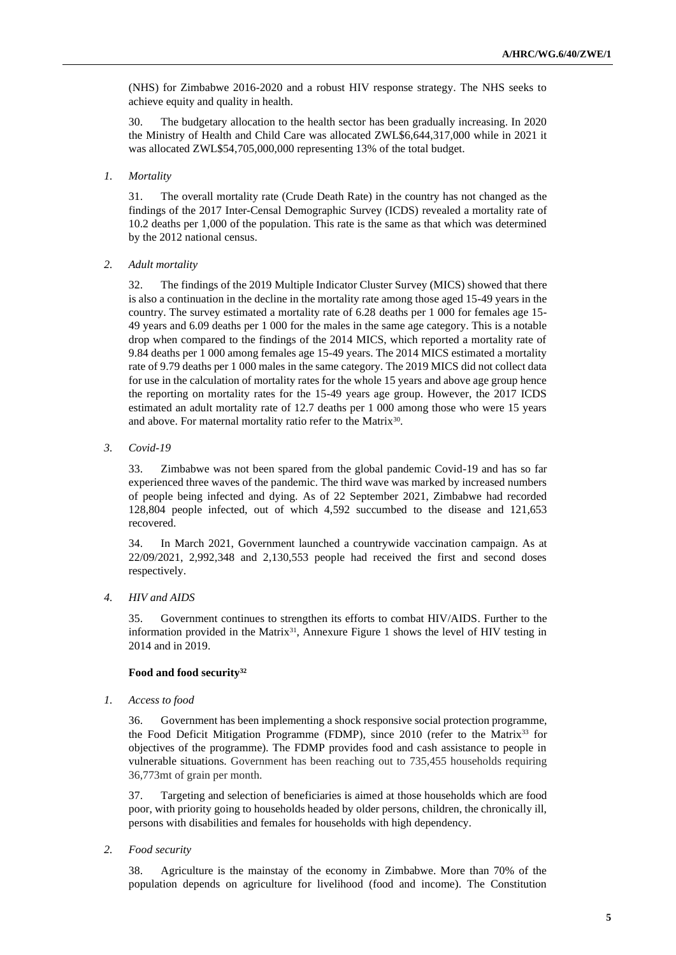(NHS) for Zimbabwe 2016-2020 and a robust HIV response strategy. The NHS seeks to achieve equity and quality in health.

30. The budgetary allocation to the health sector has been gradually increasing. In 2020 the Ministry of Health and Child Care was allocated ZWL\$6,644,317,000 while in 2021 it was allocated ZWL\$54,705,000,000 representing 13% of the total budget.

## *1. Mortality*

31. The overall mortality rate (Crude Death Rate) in the country has not changed as the findings of the 2017 Inter-Censal Demographic Survey (ICDS) revealed a mortality rate of 10.2 deaths per 1,000 of the population. This rate is the same as that which was determined by the 2012 national census.

### *2. Adult mortality*

32. The findings of the 2019 Multiple Indicator Cluster Survey (MICS) showed that there is also a continuation in the decline in the mortality rate among those aged 15-49 years in the country. The survey estimated a mortality rate of 6.28 deaths per 1 000 for females age 15- 49 years and 6.09 deaths per 1 000 for the males in the same age category. This is a notable drop when compared to the findings of the 2014 MICS, which reported a mortality rate of 9.84 deaths per 1 000 among females age 15-49 years. The 2014 MICS estimated a mortality rate of 9.79 deaths per 1 000 males in the same category. The 2019 MICS did not collect data for use in the calculation of mortality rates for the whole 15 years and above age group hence the reporting on mortality rates for the 15-49 years age group. However, the 2017 ICDS estimated an adult mortality rate of 12.7 deaths per 1 000 among those who were 15 years and above. For maternal mortality ratio refer to the Matrix $30$ .

*3. Covid-19*

33. Zimbabwe was not been spared from the global pandemic Covid-19 and has so far experienced three waves of the pandemic. The third wave was marked by increased numbers of people being infected and dying. As of 22 September 2021, Zimbabwe had recorded 128,804 people infected, out of which 4,592 succumbed to the disease and 121,653 recovered.

34. In March 2021, Government launched a countrywide vaccination campaign. As at 22/09/2021, 2,992,348 and 2,130,553 people had received the first and second doses respectively.

*4. HIV and AIDS*

35. Government continues to strengthen its efforts to combat HIV/AIDS. Further to the information provided in the Matrix<sup>31</sup>, Annexure Figure 1 shows the level of HIV testing in 2014 and in 2019.

# **Food and food security<sup>32</sup>**

*1. Access to food*

36. Government has been implementing a shock responsive social protection programme, the Food Deficit Mitigation Programme (FDMP), since 2010 (refer to the Matrix<sup>33</sup> for objectives of the programme). The FDMP provides food and cash assistance to people in vulnerable situations. Government has been reaching out to 735,455 households requiring 36,773mt of grain per month.

37. Targeting and selection of beneficiaries is aimed at those households which are food poor, with priority going to households headed by older persons, children, the chronically ill, persons with disabilities and females for households with high dependency.

*2. Food security*

38. Agriculture is the mainstay of the economy in Zimbabwe. More than 70% of the population depends on agriculture for livelihood (food and income). The Constitution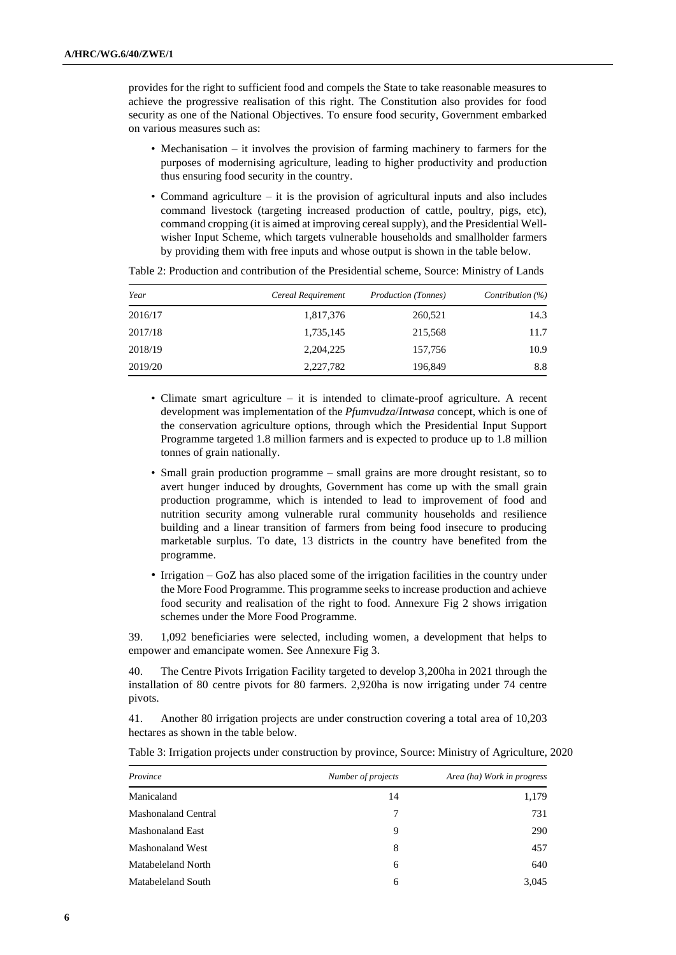provides for the right to sufficient food and compels the State to take reasonable measures to achieve the progressive realisation of this right. The Constitution also provides for food security as one of the National Objectives. To ensure food security, Government embarked on various measures such as:

- Mechanisation it involves the provision of farming machinery to farmers for the purposes of modernising agriculture, leading to higher productivity and production thus ensuring food security in the country.
- Command agriculture it is the provision of agricultural inputs and also includes command livestock (targeting increased production of cattle, poultry, pigs, etc), command cropping (it is aimed at improving cereal supply), and the Presidential Wellwisher Input Scheme, which targets vulnerable households and smallholder farmers by providing them with free inputs and whose output is shown in the table below.

| Year    | Cereal Requirement | <i>Production (Tonnes)</i> | Contribution $(\%)$ |
|---------|--------------------|----------------------------|---------------------|
| 2016/17 | 1,817,376          | 260,521                    | 14.3                |
| 2017/18 | 1,735,145          | 215,568                    | 11.7                |
| 2018/19 | 2, 204, 225        | 157,756                    | 10.9                |
| 2019/20 | 2,227,782          | 196,849                    | 8.8                 |

Table 2: Production and contribution of the Presidential scheme, Source: Ministry of Lands

- Climate smart agriculture it is intended to climate-proof agriculture. A recent development was implementation of the *Pfumvudza*/*Intwasa* concept, which is one of the conservation agriculture options, through which the Presidential Input Support Programme targeted 1.8 million farmers and is expected to produce up to 1.8 million tonnes of grain nationally.
- Small grain production programme small grains are more drought resistant, so to avert hunger induced by droughts, Government has come up with the small grain production programme, which is intended to lead to improvement of food and nutrition security among vulnerable rural community households and resilience building and a linear transition of farmers from being food insecure to producing marketable surplus. To date, 13 districts in the country have benefited from the programme.
- Irrigation GoZ has also placed some of the irrigation facilities in the country under the More Food Programme. This programme seeks to increase production and achieve food security and realisation of the right to food. Annexure Fig 2 shows irrigation schemes under the More Food Programme.

39. 1,092 beneficiaries were selected, including women, a development that helps to empower and emancipate women. See Annexure Fig 3.

40. The Centre Pivots Irrigation Facility targeted to develop 3,200ha in 2021 through the installation of 80 centre pivots for 80 farmers. 2,920ha is now irrigating under 74 centre pivots.

41. Another 80 irrigation projects are under construction covering a total area of 10,203 hectares as shown in the table below.

| Province                   | Number of projects | Area (ha) Work in progress |
|----------------------------|--------------------|----------------------------|
| Manicaland                 | 14                 | 1,179                      |
| <b>Mashonaland Central</b> | 7                  | 731                        |
| <b>Mashonaland East</b>    | 9                  | 290                        |
| <b>Mashonaland West</b>    | 8                  | 457                        |
| Matabeleland North         | 6                  | 640                        |
| Matabeleland South         | 6                  | 3,045                      |

Table 3: Irrigation projects under construction by province, Source: Ministry of Agriculture, 2020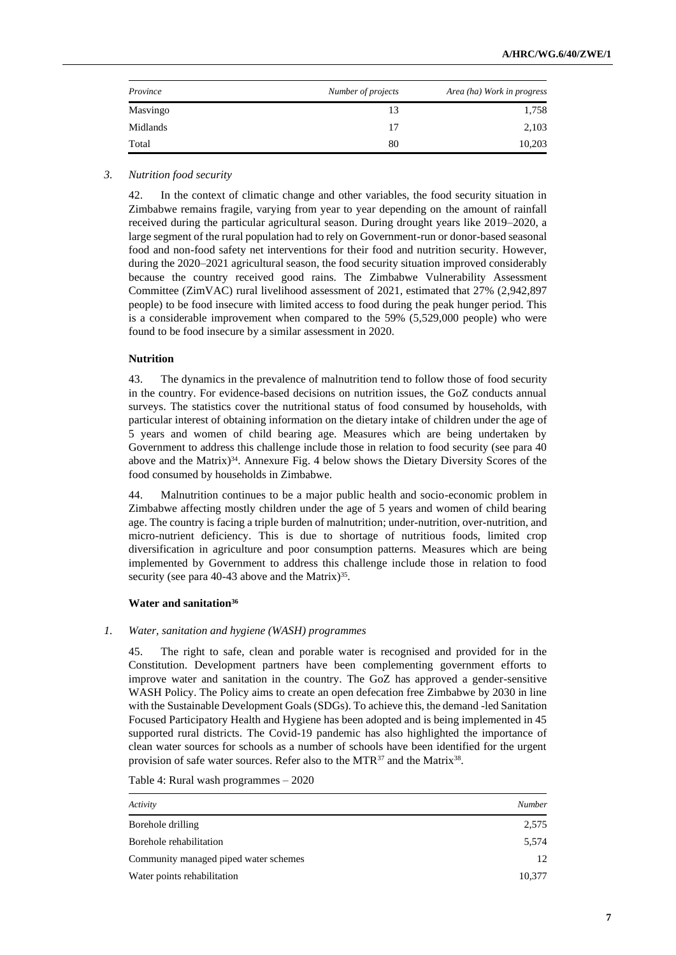| Province | Number of projects | Area (ha) Work in progress |
|----------|--------------------|----------------------------|
| Masvingo |                    | 1,758                      |
| Midlands | 17                 | 2,103                      |
| Total    | 80                 | 10,203                     |

### *3. Nutrition food security*

42. In the context of climatic change and other variables, the food security situation in Zimbabwe remains fragile, varying from year to year depending on the amount of rainfall received during the particular agricultural season. During drought years like 2019–2020, a large segment of the rural population had to rely on Government-run or donor-based seasonal food and non-food safety net interventions for their food and nutrition security. However, during the 2020–2021 agricultural season, the food security situation improved considerably because the country received good rains. The Zimbabwe Vulnerability Assessment Committee (ZimVAC) rural livelihood assessment of 2021, estimated that 27% (2,942,897 people) to be food insecure with limited access to food during the peak hunger period. This is a considerable improvement when compared to the 59% (5,529,000 people) who were found to be food insecure by a similar assessment in 2020.

### **Nutrition**

43. The dynamics in the prevalence of malnutrition tend to follow those of food security in the country. For evidence-based decisions on nutrition issues, the GoZ conducts annual surveys. The statistics cover the nutritional status of food consumed by households, with particular interest of obtaining information on the dietary intake of children under the age of 5 years and women of child bearing age. Measures which are being undertaken by Government to address this challenge include those in relation to food security (see para 40 above and the Matrix) <sup>34</sup>. Annexure Fig. 4 below shows the Dietary Diversity Scores of the food consumed by households in Zimbabwe.

44. Malnutrition continues to be a major public health and socio-economic problem in Zimbabwe affecting mostly children under the age of 5 years and women of child bearing age. The country is facing a triple burden of malnutrition; under-nutrition, over-nutrition, and micro-nutrient deficiency. This is due to shortage of nutritious foods, limited crop diversification in agriculture and poor consumption patterns. Measures which are being implemented by Government to address this challenge include those in relation to food security (see para 40-43 above and the Matrix)<sup>35</sup>.

### **Water and sanitation<sup>36</sup>**

### *1. Water, sanitation and hygiene (WASH) programmes*

45. The right to safe, clean and porable water is recognised and provided for in the Constitution. Development partners have been complementing government efforts to improve water and sanitation in the country. The GoZ has approved a gender-sensitive WASH Policy. The Policy aims to create an open defecation free Zimbabwe by 2030 in line with the Sustainable Development Goals (SDGs). To achieve this, the demand -led Sanitation Focused Participatory Health and Hygiene has been adopted and is being implemented in 45 supported rural districts. The Covid-19 pandemic has also highlighted the importance of clean water sources for schools as a number of schools have been identified for the urgent provision of safe water sources. Refer also to the MTR<sup>37</sup> and the Matrix<sup>38</sup>.

Table 4: Rural wash programmes – 2020

| Activity                              | Number |
|---------------------------------------|--------|
| Borehole drilling                     | 2,575  |
| Borehole rehabilitation               | 5,574  |
| Community managed piped water schemes | 12     |
| Water points rehabilitation           | 10,377 |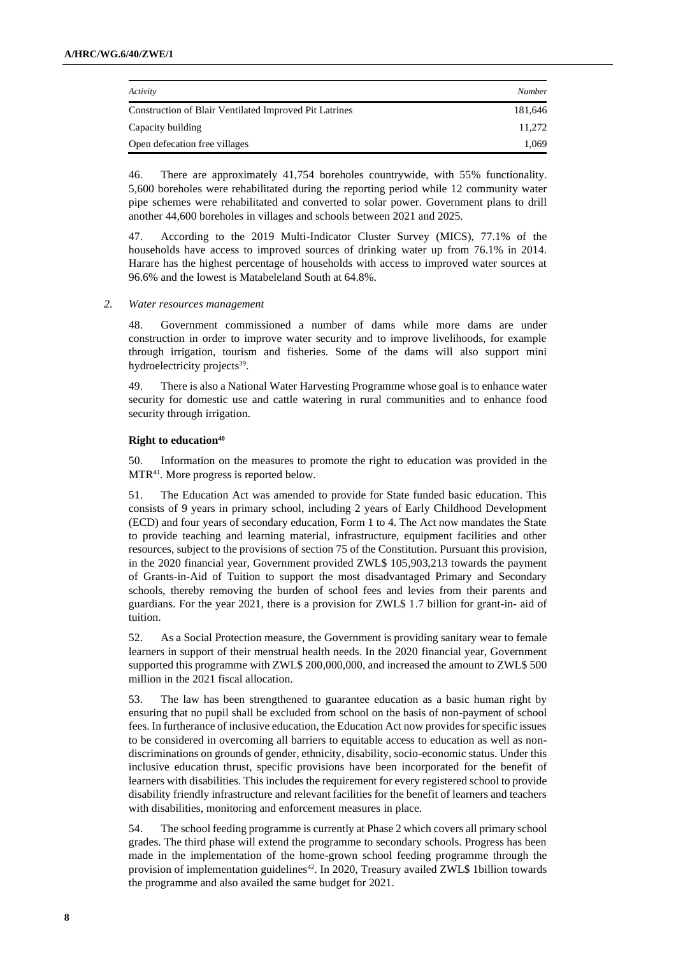| Activity                                               | Number  |
|--------------------------------------------------------|---------|
| Construction of Blair Ventilated Improved Pit Latrines | 181.646 |
| Capacity building                                      | 11.272  |
| Open defecation free villages                          | 1.069   |

46. There are approximately 41,754 boreholes countrywide, with 55% functionality. 5,600 boreholes were rehabilitated during the reporting period while 12 community water pipe schemes were rehabilitated and converted to solar power. Government plans to drill another 44,600 boreholes in villages and schools between 2021 and 2025.

47. According to the 2019 Multi-Indicator Cluster Survey (MICS), 77.1% of the households have access to improved sources of drinking water up from 76.1% in 2014. Harare has the highest percentage of households with access to improved water sources at 96.6% and the lowest is Matabeleland South at 64.8%.

### *2. Water resources management*

48. Government commissioned a number of dams while more dams are under construction in order to improve water security and to improve livelihoods, for example through irrigation, tourism and fisheries. Some of the dams will also support mini hydroelectricity projects<sup>39</sup>.

49. There is also a National Water Harvesting Programme whose goal is to enhance water security for domestic use and cattle watering in rural communities and to enhance food security through irrigation.

## **Right to education<sup>40</sup>**

50. Information on the measures to promote the right to education was provided in the MTR41. More progress is reported below.

51. The Education Act was amended to provide for State funded basic education. This consists of 9 years in primary school, including 2 years of Early Childhood Development (ECD) and four years of secondary education, Form 1 to 4. The Act now mandates the State to provide teaching and learning material, infrastructure, equipment facilities and other resources, subject to the provisions of section 75 of the Constitution. Pursuant this provision, in the 2020 financial year, Government provided ZWL\$ 105,903,213 towards the payment of Grants-in-Aid of Tuition to support the most disadvantaged Primary and Secondary schools, thereby removing the burden of school fees and levies from their parents and guardians. For the year 2021, there is a provision for ZWL\$ 1.7 billion for grant-in- aid of tuition.

52. As a Social Protection measure, the Government is providing sanitary wear to female learners in support of their menstrual health needs. In the 2020 financial year, Government supported this programme with ZWL\$ 200,000,000, and increased the amount to ZWL\$ 500 million in the 2021 fiscal allocation.

53. The law has been strengthened to guarantee education as a basic human right by ensuring that no pupil shall be excluded from school on the basis of non-payment of school fees. In furtherance of inclusive education, the Education Act now provides for specific issues to be considered in overcoming all barriers to equitable access to education as well as nondiscriminations on grounds of gender, ethnicity, disability, socio-economic status. Under this inclusive education thrust, specific provisions have been incorporated for the benefit of learners with disabilities. This includes the requirement for every registered school to provide disability friendly infrastructure and relevant facilities for the benefit of learners and teachers with disabilities, monitoring and enforcement measures in place.

54. The school feeding programme is currently at Phase 2 which covers all primary school grades. The third phase will extend the programme to secondary schools. Progress has been made in the implementation of the home-grown school feeding programme through the provision of implementation guidelines<sup>42</sup>. In 2020, Treasury availed ZWL\$ 1billion towards the programme and also availed the same budget for 2021.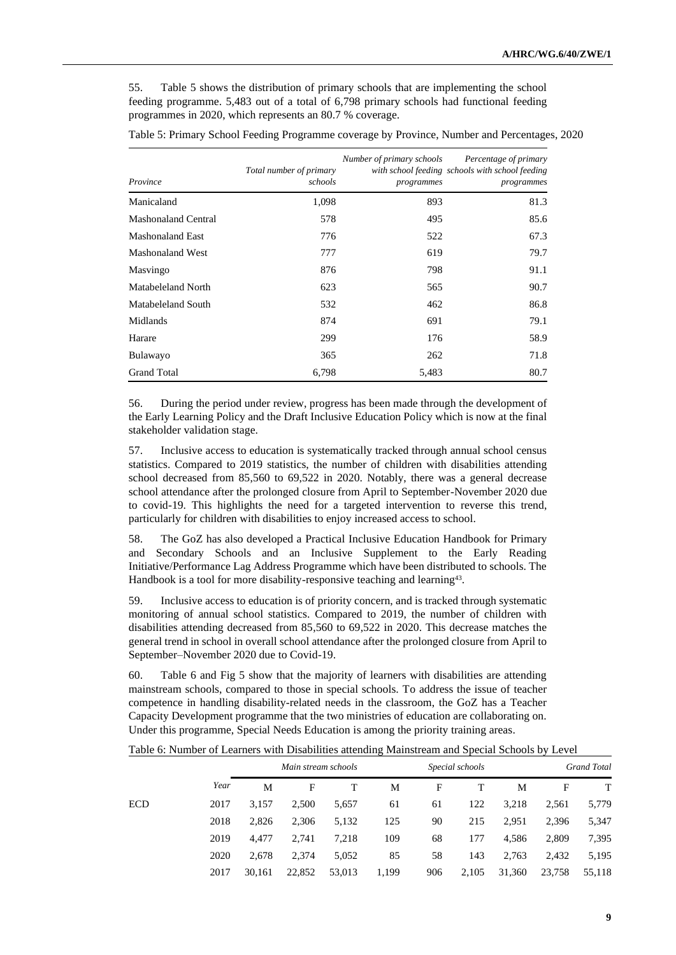55. Table 5 shows the distribution of primary schools that are implementing the school feeding programme. 5,483 out of a total of 6,798 primary schools had functional feeding programmes in 2020, which represents an 80.7 % coverage.

| Province                   | Total number of primary<br>schools | programmes | Number of primary schools Percentage of primary<br>with school feeding schools with school feeding<br>programmes |
|----------------------------|------------------------------------|------------|------------------------------------------------------------------------------------------------------------------|
| Manicaland                 | 1,098                              | 893        | 81.3                                                                                                             |
| <b>Mashonaland Central</b> | 578                                | 495        | 85.6                                                                                                             |
| <b>Mashonaland East</b>    | 776                                | 522        | 67.3                                                                                                             |
| <b>Mashonaland West</b>    | 777                                | 619        | 79.7                                                                                                             |
| Masvingo                   | 876                                | 798        | 91.1                                                                                                             |
| Matabeleland North         | 623                                | 565        | 90.7                                                                                                             |
| Matabeleland South         | 532                                | 462        | 86.8                                                                                                             |
| Midlands                   | 874                                | 691        | 79.1                                                                                                             |
| Harare                     | 299                                | 176        | 58.9                                                                                                             |
| Bulawayo                   | 365                                | 262        | 71.8                                                                                                             |
| <b>Grand Total</b>         | 6,798                              | 5,483      | 80.7                                                                                                             |

Table 5: Primary School Feeding Programme coverage by Province, Number and Percentages, 2020

56. During the period under review, progress has been made through the development of the Early Learning Policy and the Draft Inclusive Education Policy which is now at the final stakeholder validation stage.

57. Inclusive access to education is systematically tracked through annual school census statistics. Compared to 2019 statistics, the number of children with disabilities attending school decreased from 85,560 to 69,522 in 2020. Notably, there was a general decrease school attendance after the prolonged closure from April to September-November 2020 due to covid-19. This highlights the need for a targeted intervention to reverse this trend, particularly for children with disabilities to enjoy increased access to school.

58. The GoZ has also developed a Practical Inclusive Education Handbook for Primary and Secondary Schools and an Inclusive Supplement to the Early Reading Initiative/Performance Lag Address Programme which have been distributed to schools. The Handbook is a tool for more disability-responsive teaching and learning<sup>43</sup>.

59. Inclusive access to education is of priority concern, and is tracked through systematic monitoring of annual school statistics. Compared to 2019, the number of children with disabilities attending decreased from 85,560 to 69,522 in 2020. This decrease matches the general trend in school in overall school attendance after the prolonged closure from April to September–November 2020 due to Covid-19.

60. Table 6 and Fig 5 show that the majority of learners with disabilities are attending mainstream schools, compared to those in special schools. To address the issue of teacher competence in handling disability-related needs in the classroom, the GoZ has a Teacher Capacity Development programme that the two ministries of education are collaborating on. Under this programme, Special Needs Education is among the priority training areas.

| Table 6: Number of Learners with Disabilities attending Mainstream and Special Schools by Level |  |  |
|-------------------------------------------------------------------------------------------------|--|--|
|-------------------------------------------------------------------------------------------------|--|--|

|      |        |        |        | Special schools<br>Grand Total |     |       |        |        |        |
|------|--------|--------|--------|--------------------------------|-----|-------|--------|--------|--------|
| Year | М      | F      |        | М                              | F   |       | M      | F      | T      |
| 2017 | 3.157  | 2,500  | 5,657  | 61                             | 61  | 122   | 3,218  | 2,561  | 5,779  |
| 2018 | 2,826  | 2,306  | 5,132  | 125                            | 90  | 215   | 2,951  | 2,396  | 5,347  |
| 2019 | 4.477  | 2.741  | 7,218  | 109                            | 68  | 177   | 4,586  | 2,809  | 7,395  |
| 2020 | 2.678  | 2.374  | 5,052  | 85                             | 58  | 143   | 2,763  | 2,432  | 5,195  |
| 2017 | 30,161 | 22,852 | 53,013 | 1,199                          | 906 | 2,105 | 31,360 | 23,758 | 55,118 |
|      |        |        |        | Main stream schools            |     |       |        |        |        |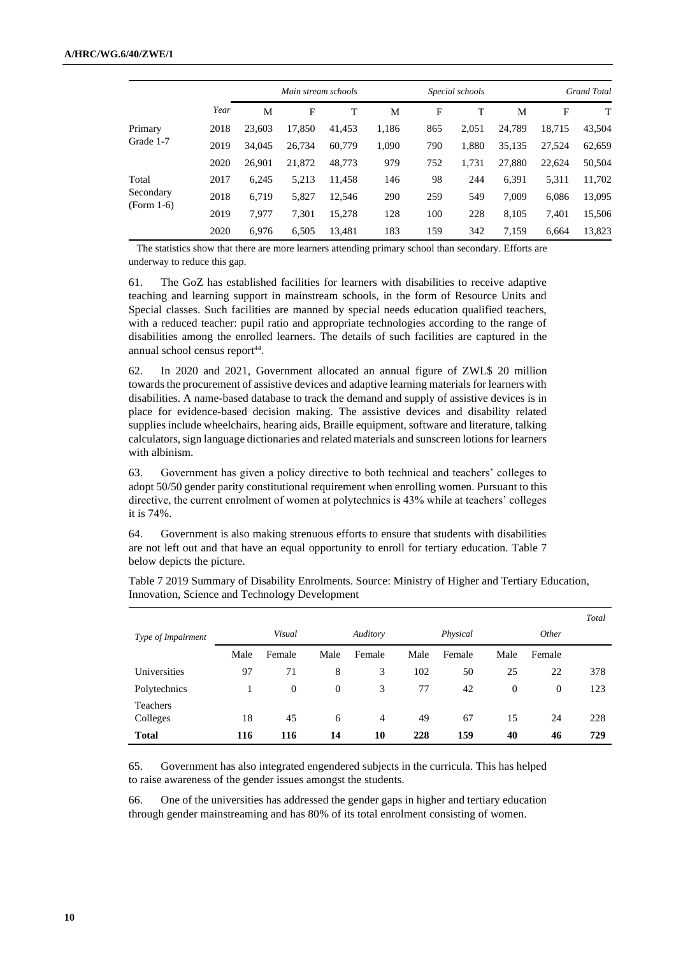|              |      |        | Main stream schools |        |       |     | Special schools |        |        | <b>Grand Total</b> |
|--------------|------|--------|---------------------|--------|-------|-----|-----------------|--------|--------|--------------------|
|              | Year | M      | F                   | T      | M     | F   | т               | M      | F      | Т                  |
| Primary      | 2018 | 23,603 | 17,850              | 41.453 | 1,186 | 865 | 2,051           | 24,789 | 18,715 | 43,504             |
| Grade 1-7    | 2019 | 34,045 | 26,734              | 60,779 | 1,090 | 790 | 1,880           | 35,135 | 27,524 | 62,659             |
|              | 2020 | 26,901 | 21,872              | 48,773 | 979   | 752 | 1,731           | 27,880 | 22.624 | 50,504             |
| Total        | 2017 | 6.245  | 5,213               | 11.458 | 146   | 98  | 244             | 6,391  | 5,311  | 11,702             |
| Secondary    | 2018 | 6,719  | 5,827               | 12,546 | 290   | 259 | 549             | 7,009  | 6,086  | 13,095             |
| $(Form 1-6)$ | 2019 | 7.977  | 7,301               | 15,278 | 128   | 100 | 228             | 8,105  | 7,401  | 15,506             |
|              | 2020 | 6,976  | 6,505               | 13,481 | 183   | 159 | 342             | 7,159  | 6.664  | 13,823             |

The statistics show that there are more learners attending primary school than secondary. Efforts are underway to reduce this gap.

61. The GoZ has established facilities for learners with disabilities to receive adaptive teaching and learning support in mainstream schools, in the form of Resource Units and Special classes. Such facilities are manned by special needs education qualified teachers, with a reduced teacher: pupil ratio and appropriate technologies according to the range of disabilities among the enrolled learners. The details of such facilities are captured in the annual school census report<sup>44</sup>.

62. In 2020 and 2021, Government allocated an annual figure of ZWL\$ 20 million towards the procurement of assistive devices and adaptive learning materials for learners with disabilities. A name-based database to track the demand and supply of assistive devices is in place for evidence-based decision making. The assistive devices and disability related supplies include wheelchairs, hearing aids, Braille equipment, software and literature, talking calculators, sign language dictionaries and related materials and sunscreen lotions for learners with albinism.

63. Government has given a policy directive to both technical and teachers' colleges to adopt 50/50 gender parity constitutional requirement when enrolling women. Pursuant to this directive, the current enrolment of women at polytechnics is 43% while at teachers' colleges it is 74%.

64. Government is also making strenuous efforts to ensure that students with disabilities are not left out and that have an equal opportunity to enroll for tertiary education. Table 7 below depicts the picture.

|                      |      |          |          |          |      |          |                |          | Total |
|----------------------|------|----------|----------|----------|------|----------|----------------|----------|-------|
| Type of Impairment   |      | Visual   |          | Auditory |      | Physical |                | Other    |       |
|                      | Male | Female   | Male     | Female   | Male | Female   | Male           | Female   |       |
| Universities         | 97   | 71       | 8        | 3        | 102  | 50       | 25             | 22       | 378   |
| Polytechnics         |      | $\theta$ | $\theta$ | 3        | 77   | 42       | $\overline{0}$ | $\theta$ | 123   |
| Teachers<br>Colleges | 18   | 45       | 6        | 4        | 49   | 67       | 15             | 24       | 228   |
| <b>Total</b>         | 116  | 116      | 14       | 10       | 228  | 159      | 40             | 46       | 729   |

Table 7 2019 Summary of Disability Enrolments. Source: Ministry of Higher and Tertiary Education, Innovation, Science and Technology Development

65. Government has also integrated engendered subjects in the curricula. This has helped to raise awareness of the gender issues amongst the students.

66. One of the universities has addressed the gender gaps in higher and tertiary education through gender mainstreaming and has 80% of its total enrolment consisting of women.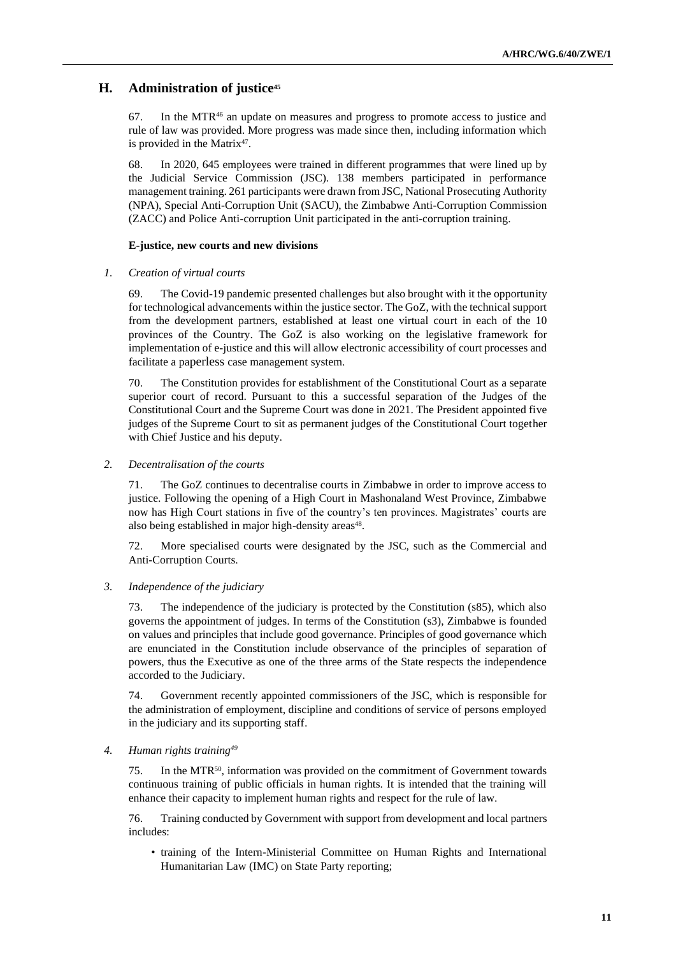# **H. Administration of justice<sup>45</sup>**

 $67.$  In the MTR $46$  an update on measures and progress to promote access to justice and rule of law was provided. More progress was made since then, including information which is provided in the Matrix<sup>47</sup>.

68. In 2020, 645 employees were trained in different programmes that were lined up by the Judicial Service Commission (JSC). 138 members participated in performance management training. 261 participants were drawn from JSC, National Prosecuting Authority (NPA), Special Anti-Corruption Unit (SACU), the Zimbabwe Anti-Corruption Commission (ZACC) and Police Anti-corruption Unit participated in the anti-corruption training.

## **E-justice, new courts and new divisions**

## *1. Creation of virtual courts*

69. The Covid-19 pandemic presented challenges but also brought with it the opportunity for technological advancements within the justice sector. The GoZ, with the technical support from the development partners, established at least one virtual court in each of the 10 provinces of the Country. The GoZ is also working on the legislative framework for implementation of e-justice and this will allow electronic accessibility of court processes and facilitate a paperless case management system.

70. The Constitution provides for establishment of the Constitutional Court as a separate superior court of record. Pursuant to this a successful separation of the Judges of the Constitutional Court and the Supreme Court was done in 2021. The President appointed five judges of the Supreme Court to sit as permanent judges of the Constitutional Court together with Chief Justice and his deputy.

## *2. Decentralisation of the courts*

71. The GoZ continues to decentralise courts in Zimbabwe in order to improve access to justice. Following the opening of a High Court in Mashonaland West Province, Zimbabwe now has High Court stations in five of the country's ten provinces. Magistrates' courts are also being established in major high-density areas<sup>48</sup>.

72. More specialised courts were designated by the JSC, such as the Commercial and Anti-Corruption Courts.

# *3. Independence of the judiciary*

73. The independence of the judiciary is protected by the Constitution (s85), which also governs the appointment of judges. In terms of the Constitution (s3), Zimbabwe is founded on values and principles that include good governance. Principles of good governance which are enunciated in the Constitution include observance of the principles of separation of powers, thus the Executive as one of the three arms of the State respects the independence accorded to the Judiciary.

74. Government recently appointed commissioners of the JSC, which is responsible for the administration of employment, discipline and conditions of service of persons employed in the judiciary and its supporting staff.

# *4. Human rights training<sup>49</sup>*

75. In the MTR50, information was provided on the commitment of Government towards continuous training of public officials in human rights. It is intended that the training will enhance their capacity to implement human rights and respect for the rule of law.

76. Training conducted by Government with support from development and local partners includes:

• training of the Intern-Ministerial Committee on Human Rights and International Humanitarian Law (IMC) on State Party reporting;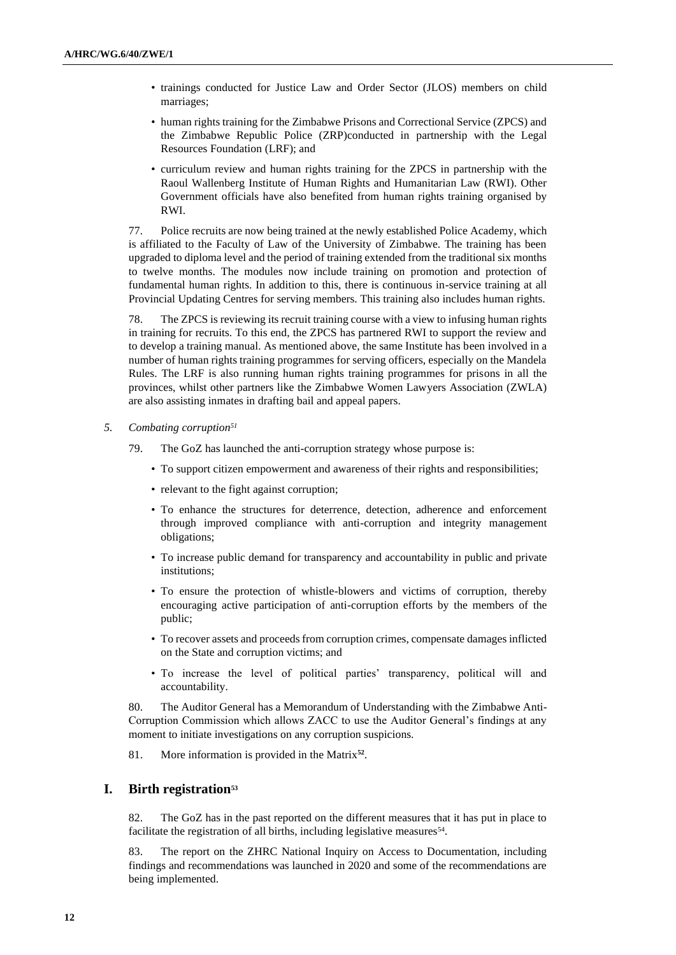- trainings conducted for Justice Law and Order Sector (JLOS) members on child marriages;
- human rights training for the Zimbabwe Prisons and Correctional Service (ZPCS) and the Zimbabwe Republic Police (ZRP)conducted in partnership with the Legal Resources Foundation (LRF); and
- curriculum review and human rights training for the ZPCS in partnership with the Raoul Wallenberg Institute of Human Rights and Humanitarian Law (RWI). Other Government officials have also benefited from human rights training organised by RWI.

77. Police recruits are now being trained at the newly established Police Academy, which is affiliated to the Faculty of Law of the University of Zimbabwe. The training has been upgraded to diploma level and the period of training extended from the traditional six months to twelve months. The modules now include training on promotion and protection of fundamental human rights. In addition to this, there is continuous in-service training at all Provincial Updating Centres for serving members. This training also includes human rights.

78. The ZPCS is reviewing its recruit training course with a view to infusing human rights in training for recruits. To this end, the ZPCS has partnered RWI to support the review and to develop a training manual. As mentioned above, the same Institute has been involved in a number of human rights training programmes for serving officers, especially on the Mandela Rules. The LRF is also running human rights training programmes for prisons in all the provinces, whilst other partners like the Zimbabwe Women Lawyers Association (ZWLA) are also assisting inmates in drafting bail and appeal papers.

- *5. Combating corruption<sup>51</sup>*
	- 79. The GoZ has launched the anti-corruption strategy whose purpose is:
		- To support citizen empowerment and awareness of their rights and responsibilities;
		- relevant to the fight against corruption;
		- To enhance the structures for deterrence, detection, adherence and enforcement through improved compliance with anti-corruption and integrity management obligations;
		- To increase public demand for transparency and accountability in public and private institutions;
		- To ensure the protection of whistle-blowers and victims of corruption, thereby encouraging active participation of anti-corruption efforts by the members of the public;
		- To recover assets and proceeds from corruption crimes, compensate damages inflicted on the State and corruption victims; and
		- To increase the level of political parties' transparency, political will and accountability.

80. The Auditor General has a Memorandum of Understanding with the Zimbabwe Anti-Corruption Commission which allows ZACC to use the Auditor General's findings at any moment to initiate investigations on any corruption suspicions.

81. More information is provided in the Matrix**<sup>52</sup>** .

# **I. Birth registration<sup>53</sup>**

82. The GoZ has in the past reported on the different measures that it has put in place to facilitate the registration of all births, including legislative measures<sup>54</sup>.

83. The report on the ZHRC National Inquiry on Access to Documentation, including findings and recommendations was launched in 2020 and some of the recommendations are being implemented.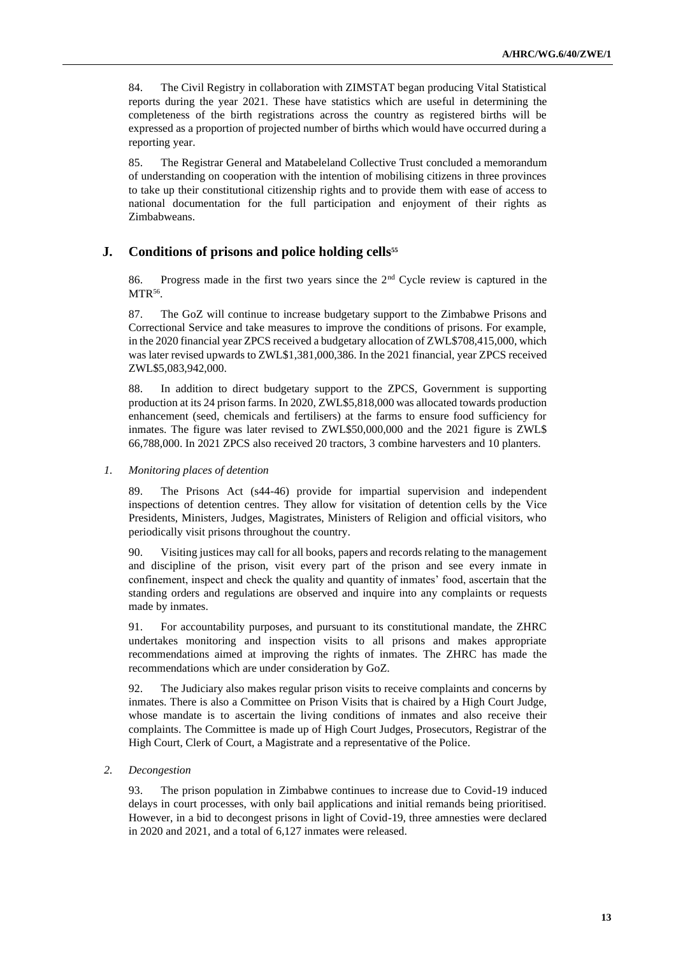84. The Civil Registry in collaboration with ZIMSTAT began producing Vital Statistical reports during the year 2021. These have statistics which are useful in determining the completeness of the birth registrations across the country as registered births will be expressed as a proportion of projected number of births which would have occurred during a reporting year.

85. The Registrar General and Matabeleland Collective Trust concluded a memorandum of understanding on cooperation with the intention of mobilising citizens in three provinces to take up their constitutional citizenship rights and to provide them with ease of access to national documentation for the full participation and enjoyment of their rights as Zimbabweans.

# **J. Conditions of prisons and police holding cells<sup>55</sup>**

86. Progress made in the first two years since the 2<sup>nd</sup> Cycle review is captured in the MTR<sup>56</sup>.

87. The GoZ will continue to increase budgetary support to the Zimbabwe Prisons and Correctional Service and take measures to improve the conditions of prisons. For example, in the 2020 financial year ZPCS received a budgetary allocation of ZWL\$708,415,000, which was later revised upwards to ZWL\$1,381,000,386. In the 2021 financial, year ZPCS received ZWL\$5,083,942,000.

88. In addition to direct budgetary support to the ZPCS, Government is supporting production at its 24 prison farms. In 2020, ZWL\$5,818,000 was allocated towards production enhancement (seed, chemicals and fertilisers) at the farms to ensure food sufficiency for inmates. The figure was later revised to ZWL\$50,000,000 and the 2021 figure is ZWL\$ 66,788,000. In 2021 ZPCS also received 20 tractors, 3 combine harvesters and 10 planters.

*1. Monitoring places of detention*

89. The Prisons Act (s44-46) provide for impartial supervision and independent inspections of detention centres. They allow for visitation of detention cells by the Vice Presidents, Ministers, Judges, Magistrates, Ministers of Religion and official visitors, who periodically visit prisons throughout the country.

90. Visiting justices may call for all books, papers and records relating to the management and discipline of the prison, visit every part of the prison and see every inmate in confinement, inspect and check the quality and quantity of inmates' food, ascertain that the standing orders and regulations are observed and inquire into any complaints or requests made by inmates.

91. For accountability purposes, and pursuant to its constitutional mandate, the ZHRC undertakes monitoring and inspection visits to all prisons and makes appropriate recommendations aimed at improving the rights of inmates. The ZHRC has made the recommendations which are under consideration by GoZ.

92. The Judiciary also makes regular prison visits to receive complaints and concerns by inmates. There is also a Committee on Prison Visits that is chaired by a High Court Judge, whose mandate is to ascertain the living conditions of inmates and also receive their complaints. The Committee is made up of High Court Judges, Prosecutors, Registrar of the High Court, Clerk of Court, a Magistrate and a representative of the Police.

*2. Decongestion*

93. The prison population in Zimbabwe continues to increase due to Covid-19 induced delays in court processes, with only bail applications and initial remands being prioritised. However, in a bid to decongest prisons in light of Covid-19, three amnesties were declared in 2020 and 2021, and a total of 6,127 inmates were released.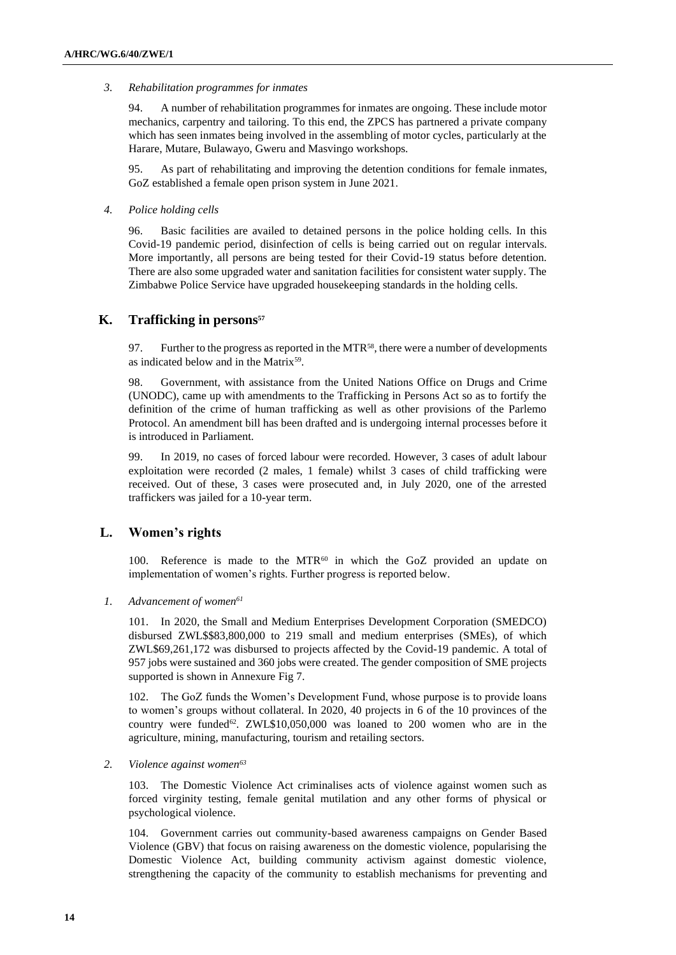### *3. Rehabilitation programmes for inmates*

94. A number of rehabilitation programmes for inmates are ongoing. These include motor mechanics, carpentry and tailoring. To this end, the ZPCS has partnered a private company which has seen inmates being involved in the assembling of motor cycles, particularly at the Harare, Mutare, Bulawayo, Gweru and Masvingo workshops.

95. As part of rehabilitating and improving the detention conditions for female inmates, GoZ established a female open prison system in June 2021.

### *4. Police holding cells*

96. Basic facilities are availed to detained persons in the police holding cells. In this Covid-19 pandemic period, disinfection of cells is being carried out on regular intervals. More importantly, all persons are being tested for their Covid-19 status before detention. There are also some upgraded water and sanitation facilities for consistent water supply. The Zimbabwe Police Service have upgraded housekeeping standards in the holding cells.

# **K. Trafficking in persons<sup>57</sup>**

97. Further to the progress as reported in the MTR<sup>58</sup>, there were a number of developments as indicated below and in the Matrix<sup>59</sup>.

98. Government, with assistance from the United Nations Office on Drugs and Crime (UNODC), came up with amendments to the Trafficking in Persons Act so as to fortify the definition of the crime of human trafficking as well as other provisions of the Parlemo Protocol. An amendment bill has been drafted and is undergoing internal processes before it is introduced in Parliament.

99. In 2019, no cases of forced labour were recorded. However, 3 cases of adult labour exploitation were recorded (2 males, 1 female) whilst 3 cases of child trafficking were received. Out of these, 3 cases were prosecuted and, in July 2020, one of the arrested traffickers was jailed for a 10-year term.

# **L. Women's rights**

100. Reference is made to the MTR<sup>60</sup> in which the GoZ provided an update on implementation of women's rights. Further progress is reported below.

*1. Advancement of women<sup>61</sup>*

101. In 2020, the Small and Medium Enterprises Development Corporation (SMEDCO) disbursed ZWL\$\$83,800,000 to 219 small and medium enterprises (SMEs), of which ZWL\$69,261,172 was disbursed to projects affected by the Covid-19 pandemic. A total of 957 jobs were sustained and 360 jobs were created. The gender composition of SME projects supported is shown in Annexure Fig 7.

102. The GoZ funds the Women's Development Fund, whose purpose is to provide loans to women's groups without collateral. In 2020, 40 projects in 6 of the 10 provinces of the country were funded<sup>62</sup>. ZWL\$10,050,000 was loaned to 200 women who are in the agriculture, mining, manufacturing, tourism and retailing sectors.

#### *2. Violence against women<sup>63</sup>*

103. The Domestic Violence Act criminalises acts of violence against women such as forced virginity testing, female genital mutilation and any other forms of physical or psychological violence.

104. Government carries out community-based awareness campaigns on Gender Based Violence (GBV) that focus on raising awareness on the domestic violence, popularising the Domestic Violence Act, building community activism against domestic violence, strengthening the capacity of the community to establish mechanisms for preventing and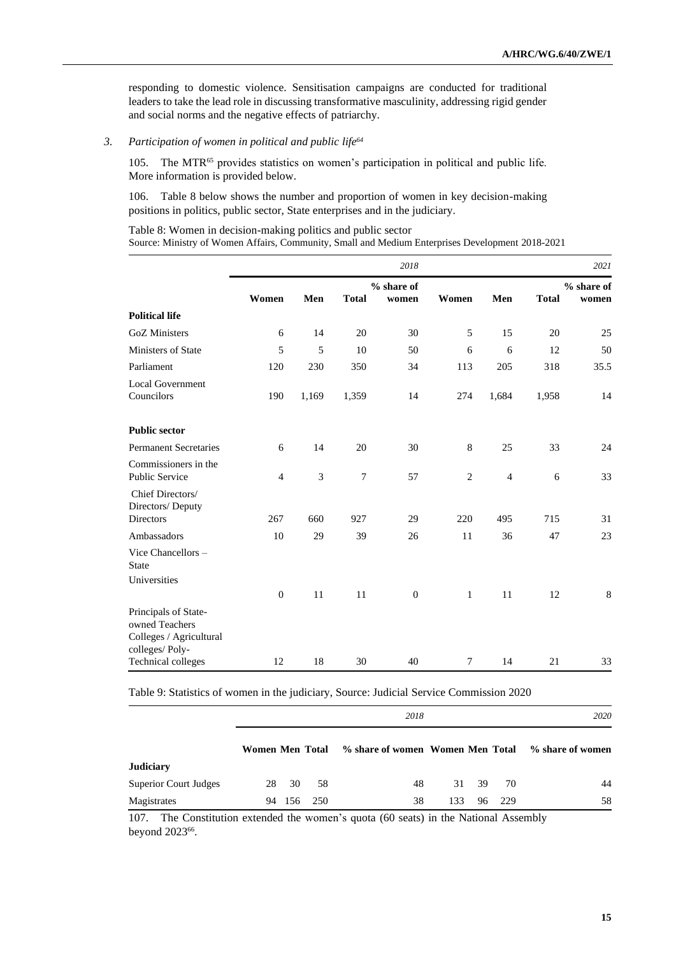responding to domestic violence. Sensitisation campaigns are conducted for traditional leaders to take the lead role in discussing transformative masculinity, addressing rigid gender and social norms and the negative effects of patriarchy.

## *3. Participation of women in political and public life<sup>64</sup>*

105. The MTR<sup>65</sup> provides statistics on women's participation in political and public life. More information is provided below.

106. Table 8 below shows the number and proportion of women in key decision-making positions in politics, public sector, State enterprises and in the judiciary.

Table 8: Women in decision-making politics and public sector Source: Ministry of Women Affairs, Community, Small and Medium Enterprises Development 2018-2021

|                                               | 2018           |       |                  |                     |        |                | 2021         |                     |
|-----------------------------------------------|----------------|-------|------------------|---------------------|--------|----------------|--------------|---------------------|
|                                               | Women          | Men   | <b>Total</b>     | % share of<br>women | Women  | Men            | <b>Total</b> | % share of<br>women |
| <b>Political life</b>                         |                |       |                  |                     |        |                |              |                     |
| <b>GoZ</b> Ministers                          | 6              | 14    | 20               | 30                  | 5      | 15             | 20           | 25                  |
| Ministers of State                            | 5              | 5     | 10               | 50                  | 6      | 6              | 12           | 50                  |
| Parliament                                    | 120            | 230   | 350              | 34                  | 113    | 205            | 318          | 35.5                |
| <b>Local Government</b><br>Councilors         | 190            | 1,169 | 1,359            | 14                  | 274    | 1,684          | 1,958        | 14                  |
| <b>Public sector</b>                          |                |       |                  |                     |        |                |              |                     |
| <b>Permanent Secretaries</b>                  | 6              | 14    | 20               | 30                  | 8      | 25             | 33           | 24                  |
| Commissioners in the<br><b>Public Service</b> | $\overline{4}$ | 3     | $\boldsymbol{7}$ | 57                  | 2      | $\overline{4}$ | 6            | 33                  |
| Chief Directors/<br>Directors/Deputy          |                |       |                  |                     |        |                |              |                     |
| <b>Directors</b>                              | 267            | 660   | 927              | 29                  | 220    | 495            | 715          | 31                  |
| Ambassadors                                   | 10             | 29    | 39               | 26                  | 11     | 36             | 47           | 23                  |
| Vice Chancellors -<br><b>State</b>            |                |       |                  |                     |        |                |              |                     |
| Universities                                  |                |       |                  |                     |        |                |              |                     |
| Principals of State-<br>owned Teachers        | $\mathbf{0}$   | 11    | 11               | $\mathbf{0}$        | 1      | 11             | 12           | $8\,$               |
| Colleges / Agricultural<br>colleges/Poly-     |                |       |                  |                     |        |                |              |                     |
| Technical colleges                            | 12             | 18    | 30               | 40                  | $\tau$ | 14             | 21           | 33                  |

Table 9: Statistics of women in the judiciary, Source: Judicial Service Commission 2020

|                              |                 | 2018  |       |                                  |     |  |          | 2020             |  |
|------------------------------|-----------------|-------|-------|----------------------------------|-----|--|----------|------------------|--|
|                              | Women Men Total |       |       | % share of women Women Men Total |     |  |          | % share of women |  |
| <b>Judiciary</b>             |                 |       |       |                                  |     |  |          |                  |  |
| <b>Superior Court Judges</b> |                 | 28 30 | -58   | 48                               |     |  | 31 39 70 | 44               |  |
| Magistrates                  | 94              | -156  | - 250 | 38                               | 133 |  | 96 229   | 58               |  |

107. The Constitution extended the women's quota (60 seats) in the National Assembly beyond 2023<sup>66</sup>.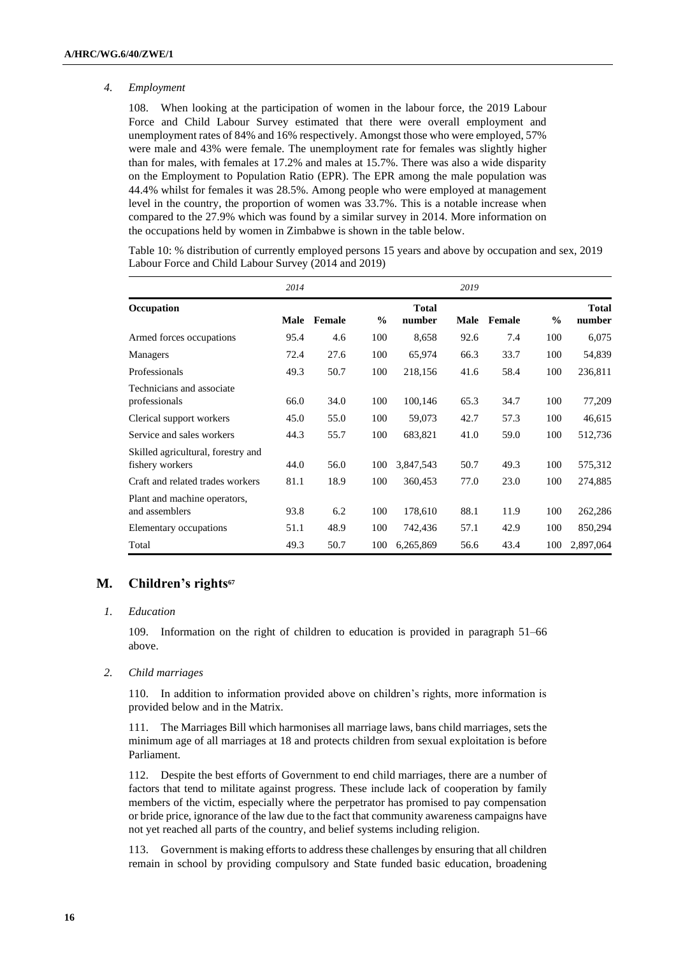### *4. Employment*

108. When looking at the participation of women in the labour force, the 2019 Labour Force and Child Labour Survey estimated that there were overall employment and unemployment rates of 84% and 16% respectively. Amongst those who were employed, 57% were male and 43% were female. The unemployment rate for females was slightly higher than for males, with females at 17.2% and males at 15.7%. There was also a wide disparity on the Employment to Population Ratio (EPR). The EPR among the male population was 44.4% whilst for females it was 28.5%. Among people who were employed at management level in the country, the proportion of women was 33.7%. This is a notable increase when compared to the 27.9% which was found by a similar survey in 2014. More information on the occupations held by women in Zimbabwe is shown in the table below.

Table 10: % distribution of currently employed persons 15 years and above by occupation and sex, 2019 Labour Force and Child Labour Survey (2014 and 2019)

|                                                       | 2014 |        |               |                        | 2019 |        |               |                        |
|-------------------------------------------------------|------|--------|---------------|------------------------|------|--------|---------------|------------------------|
| Occupation                                            | Male | Female | $\frac{0}{0}$ | <b>Total</b><br>number | Male | Female | $\frac{0}{0}$ | <b>Total</b><br>number |
| Armed forces occupations                              | 95.4 | 4.6    | 100           | 8,658                  | 92.6 | 7.4    | 100           | 6,075                  |
| <b>Managers</b>                                       | 72.4 | 27.6   | 100           | 65,974                 | 66.3 | 33.7   | 100           | 54,839                 |
| Professionals                                         | 49.3 | 50.7   | 100           | 218,156                | 41.6 | 58.4   | 100           | 236,811                |
| Technicians and associate<br>professionals            | 66.0 | 34.0   | 100           | 100,146                | 65.3 | 34.7   | 100           | 77,209                 |
| Clerical support workers                              | 45.0 | 55.0   | 100           | 59,073                 | 42.7 | 57.3   | 100           | 46,615                 |
| Service and sales workers                             | 44.3 | 55.7   | 100           | 683,821                | 41.0 | 59.0   | 100           | 512,736                |
| Skilled agricultural, forestry and<br>fishery workers | 44.0 | 56.0   | 100           | 3,847,543              | 50.7 | 49.3   | 100           | 575,312                |
| Craft and related trades workers                      | 81.1 | 18.9   | 100           | 360,453                | 77.0 | 23.0   | 100           | 274,885                |
| Plant and machine operators,<br>and assemblers        | 93.8 | 6.2    | 100           | 178,610                | 88.1 | 11.9   | 100           | 262,286                |
| Elementary occupations                                | 51.1 | 48.9   | 100           | 742,436                | 57.1 | 42.9   | 100           | 850,294                |
| Total                                                 | 49.3 | 50.7   | 100           | 6,265,869              | 56.6 | 43.4   | 100           | 2,897,064              |

# **M. Children's rights<sup>67</sup>**

#### *1. Education*

109. Information on the right of children to education is provided in paragraph 51–66 above.

#### *2. Child marriages*

110. In addition to information provided above on children's rights, more information is provided below and in the Matrix.

111. The Marriages Bill which harmonises all marriage laws, bans child marriages, sets the minimum age of all marriages at 18 and protects children from sexual exploitation is before Parliament.

112. Despite the best efforts of Government to end child marriages, there are a number of factors that tend to militate against progress. These include lack of cooperation by family members of the victim, especially where the perpetrator has promised to pay compensation or bride price, ignorance of the law due to the fact that community awareness campaigns have not yet reached all parts of the country, and belief systems including religion.

113. Government is making efforts to address these challenges by ensuring that all children remain in school by providing compulsory and State funded basic education, broadening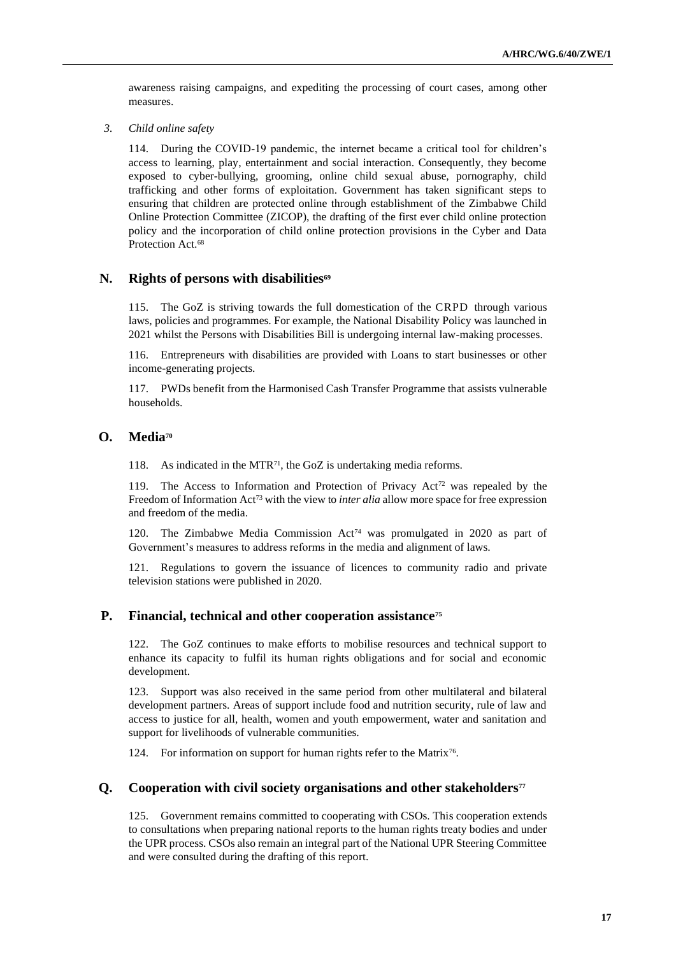awareness raising campaigns, and expediting the processing of court cases, among other measures.

*3. Child online safety*

114. During the COVID-19 pandemic, the internet became a critical tool for children's access to learning, play, entertainment and social interaction. Consequently, they become exposed to cyber-bullying, grooming, online child sexual abuse, pornography, child trafficking and other forms of exploitation. Government has taken significant steps to ensuring that children are protected online through establishment of the Zimbabwe Child Online Protection Committee (ZICOP), the drafting of the first ever child online protection policy and the incorporation of child online protection provisions in the Cyber and Data Protection Act.<sup>68</sup>

# **N. Rights of persons with disabilities<sup>69</sup>**

115. The GoZ is striving towards the full domestication of the CRPD through various laws, policies and programmes. For example, the National Disability Policy was launched in 2021 whilst the Persons with Disabilities Bill is undergoing internal law-making processes.

116. Entrepreneurs with disabilities are provided with Loans to start businesses or other income-generating projects.

117. PWDs benefit from the Harmonised Cash Transfer Programme that assists vulnerable households.

# **O. Media<sup>70</sup>**

118. As indicated in the MTR<sup>71</sup>, the GoZ is undertaking media reforms.

119. The Access to Information and Protection of Privacy Act<sup>72</sup> was repealed by the Freedom of Information Act<sup>73</sup> with the view to *inter alia* allow more space for free expression and freedom of the media.

120. The Zimbabwe Media Commission Act<sup>74</sup> was promulgated in 2020 as part of Government's measures to address reforms in the media and alignment of laws.

121. Regulations to govern the issuance of licences to community radio and private television stations were published in 2020.

# **P. Financial, technical and other cooperation assistance<sup>75</sup>**

122. The GoZ continues to make efforts to mobilise resources and technical support to enhance its capacity to fulfil its human rights obligations and for social and economic development.

123. Support was also received in the same period from other multilateral and bilateral development partners. Areas of support include food and nutrition security, rule of law and access to justice for all, health, women and youth empowerment, water and sanitation and support for livelihoods of vulnerable communities.

124. For information on support for human rights refer to the Matrix<sup>76</sup>.

# **Q. Cooperation with civil society organisations and other stakeholders<sup>77</sup>**

125. Government remains committed to cooperating with CSOs. This cooperation extends to consultations when preparing national reports to the human rights treaty bodies and under the UPR process. CSOs also remain an integral part of the National UPR Steering Committee and were consulted during the drafting of this report.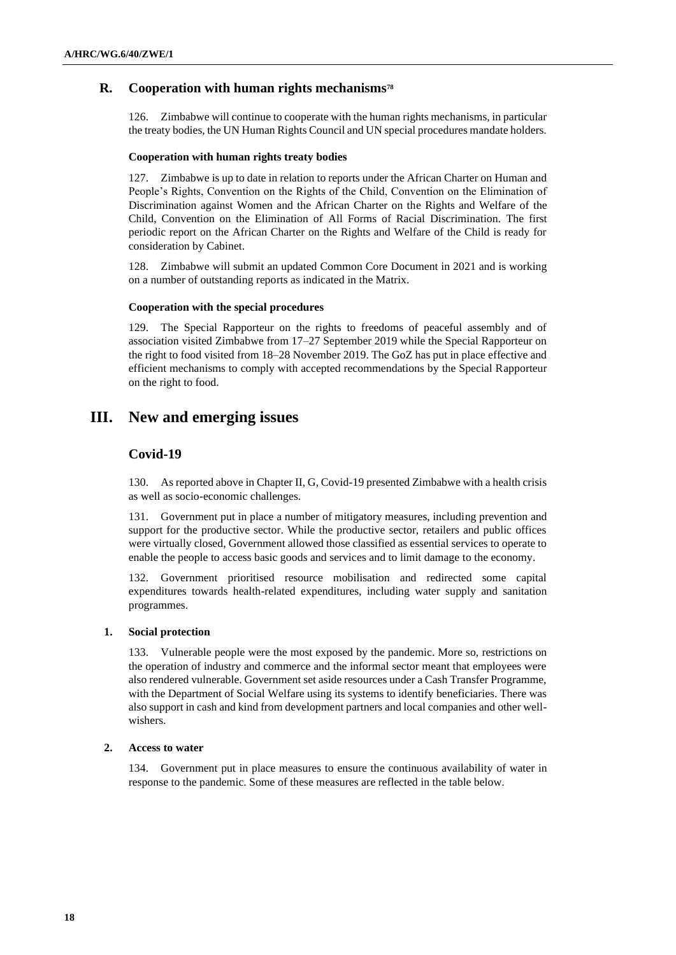# **R. Cooperation with human rights mechanisms<sup>78</sup>**

126. Zimbabwe will continue to cooperate with the human rights mechanisms, in particular the treaty bodies, the UN Human Rights Council and UN special procedures mandate holders.

### **Cooperation with human rights treaty bodies**

127. Zimbabwe is up to date in relation to reports under the African Charter on Human and People's Rights, Convention on the Rights of the Child, Convention on the Elimination of Discrimination against Women and the African Charter on the Rights and Welfare of the Child, Convention on the Elimination of All Forms of Racial Discrimination. The first periodic report on the African Charter on the Rights and Welfare of the Child is ready for consideration by Cabinet.

128. Zimbabwe will submit an updated Common Core Document in 2021 and is working on a number of outstanding reports as indicated in the Matrix.

### **Cooperation with the special procedures**

129. The Special Rapporteur on the rights to freedoms of peaceful assembly and of association visited Zimbabwe from 17–27 September 2019 while the Special Rapporteur on the right to food visited from 18–28 November 2019. The GoZ has put in place effective and efficient mechanisms to comply with accepted recommendations by the Special Rapporteur on the right to food.

# **III. New and emerging issues**

# **Covid-19**

130. As reported above in Chapter II, G, Covid-19 presented Zimbabwe with a health crisis as well as socio-economic challenges.

131. Government put in place a number of mitigatory measures, including prevention and support for the productive sector. While the productive sector, retailers and public offices were virtually closed, Government allowed those classified as essential services to operate to enable the people to access basic goods and services and to limit damage to the economy.

132. Government prioritised resource mobilisation and redirected some capital expenditures towards health-related expenditures, including water supply and sanitation programmes.

#### **1. Social protection**

133. Vulnerable people were the most exposed by the pandemic. More so, restrictions on the operation of industry and commerce and the informal sector meant that employees were also rendered vulnerable. Government set aside resources under a Cash Transfer Programme, with the Department of Social Welfare using its systems to identify beneficiaries. There was also support in cash and kind from development partners and local companies and other wellwishers.

### **2. Access to water**

134. Government put in place measures to ensure the continuous availability of water in response to the pandemic. Some of these measures are reflected in the table below.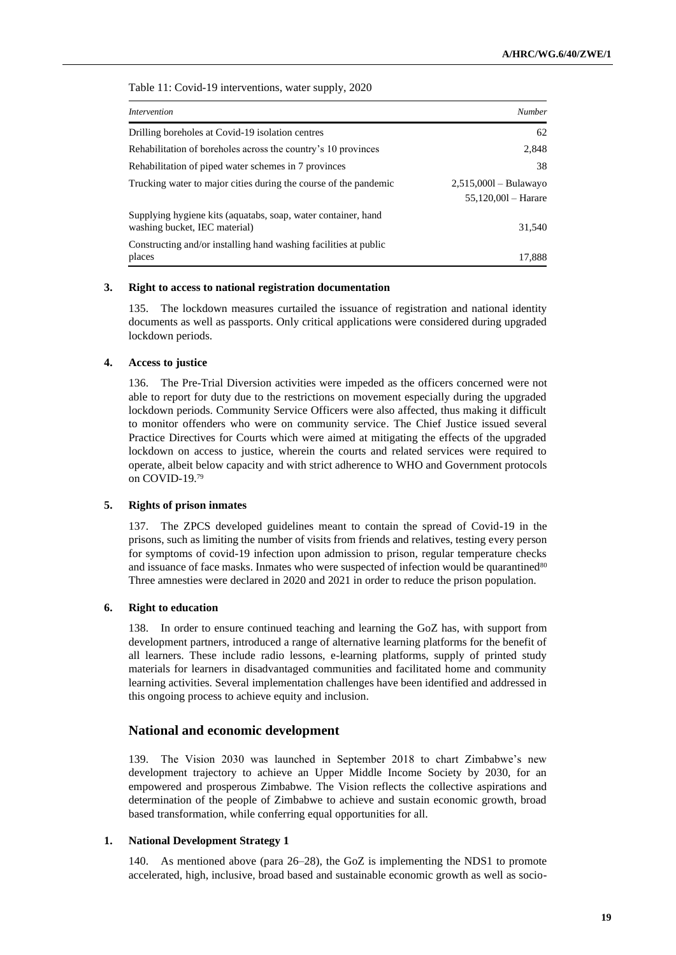Table 11: Covid-19 interventions, water supply, 2020

| <i>Intervention</i>                                                                            | Number                                           |
|------------------------------------------------------------------------------------------------|--------------------------------------------------|
| Drilling boreholes at Covid-19 isolation centres                                               | 62                                               |
| Rehabilitation of boreholes across the country's 10 provinces                                  | 2.848                                            |
| Rehabilitation of piped water schemes in 7 provinces                                           | 38                                               |
| Trucking water to major cities during the course of the pandemic                               | $2,515,0001 - Bulawavo$<br>$55,120,001 - Harare$ |
| Supplying hygiene kits (aquatabs, soap, water container, hand<br>washing bucket, IEC material) | 31.540                                           |
| Constructing and/or installing hand washing facilities at public<br>places                     | 17.888                                           |

### **3. Right to access to national registration documentation**

135. The lockdown measures curtailed the issuance of registration and national identity documents as well as passports. Only critical applications were considered during upgraded lockdown periods.

### **4. Access to justice**

136. The Pre-Trial Diversion activities were impeded as the officers concerned were not able to report for duty due to the restrictions on movement especially during the upgraded lockdown periods. Community Service Officers were also affected, thus making it difficult to monitor offenders who were on community service. The Chief Justice issued several Practice Directives for Courts which were aimed at mitigating the effects of the upgraded lockdown on access to justice, wherein the courts and related services were required to operate, albeit below capacity and with strict adherence to WHO and Government protocols on COVID-19.<sup>79</sup>

### **5. Rights of prison inmates**

137. The ZPCS developed guidelines meant to contain the spread of Covid-19 in the prisons, such as limiting the number of visits from friends and relatives, testing every person for symptoms of covid-19 infection upon admission to prison, regular temperature checks and issuance of face masks. Inmates who were suspected of infection would be quarantined $80$ Three amnesties were declared in 2020 and 2021 in order to reduce the prison population.

### **6. Right to education**

138. In order to ensure continued teaching and learning the GoZ has, with support from development partners, introduced a range of alternative learning platforms for the benefit of all learners. These include radio lessons, e-learning platforms, supply of printed study materials for learners in disadvantaged communities and facilitated home and community learning activities. Several implementation challenges have been identified and addressed in this ongoing process to achieve equity and inclusion.

### **National and economic development**

139. The Vision 2030 was launched in September 2018 to chart Zimbabwe's new development trajectory to achieve an Upper Middle Income Society by 2030, for an empowered and prosperous Zimbabwe. The Vision reflects the collective aspirations and determination of the people of Zimbabwe to achieve and sustain economic growth, broad based transformation, while conferring equal opportunities for all.

### **1. National Development Strategy 1**

140. As mentioned above (para 26–28), the GoZ is implementing the NDS1 to promote accelerated, high, inclusive, broad based and sustainable economic growth as well as socio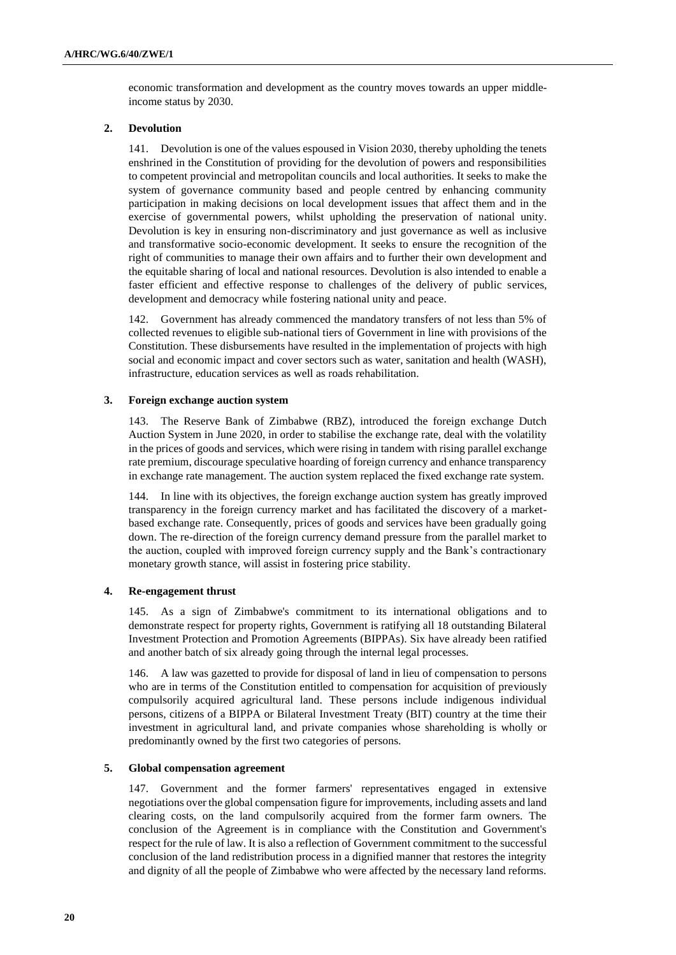economic transformation and development as the country moves towards an upper middleincome status by 2030.

#### **2. Devolution**

141. Devolution is one of the values espoused in Vision 2030, thereby upholding the tenets enshrined in the Constitution of providing for the devolution of powers and responsibilities to competent provincial and metropolitan councils and local authorities. It seeks to make the system of governance community based and people centred by enhancing community participation in making decisions on local development issues that affect them and in the exercise of governmental powers, whilst upholding the preservation of national unity. Devolution is key in ensuring non-discriminatory and just governance as well as inclusive and transformative socio-economic development. It seeks to ensure the recognition of the right of communities to manage their own affairs and to further their own development and the equitable sharing of local and national resources. Devolution is also intended to enable a faster efficient and effective response to challenges of the delivery of public services, development and democracy while fostering national unity and peace.

142. Government has already commenced the mandatory transfers of not less than 5% of collected revenues to eligible sub-national tiers of Government in line with provisions of the Constitution. These disbursements have resulted in the implementation of projects with high social and economic impact and cover sectors such as water, sanitation and health (WASH), infrastructure, education services as well as roads rehabilitation.

#### **3. Foreign exchange auction system**

143. The Reserve Bank of Zimbabwe (RBZ), introduced the foreign exchange Dutch Auction System in June 2020, in order to stabilise the exchange rate, deal with the volatility in the prices of goods and services, which were rising in tandem with rising parallel exchange rate premium, discourage speculative hoarding of foreign currency and enhance transparency in exchange rate management. The auction system replaced the fixed exchange rate system.

144. In line with its objectives, the foreign exchange auction system has greatly improved transparency in the foreign currency market and has facilitated the discovery of a marketbased exchange rate. Consequently, prices of goods and services have been gradually going down. The re-direction of the foreign currency demand pressure from the parallel market to the auction, coupled with improved foreign currency supply and the Bank's contractionary monetary growth stance, will assist in fostering price stability.

#### **4. Re-engagement thrust**

145. As a sign of Zimbabwe's commitment to its international obligations and to demonstrate respect for property rights, Government is ratifying all 18 outstanding Bilateral Investment Protection and Promotion Agreements (BIPPAs). Six have already been ratified and another batch of six already going through the internal legal processes.

146. A law was gazetted to provide for disposal of land in lieu of compensation to persons who are in terms of the Constitution entitled to compensation for acquisition of previously compulsorily acquired agricultural land. These persons include indigenous individual persons, citizens of a BIPPA or Bilateral Investment Treaty (BIT) country at the time their investment in agricultural land, and private companies whose shareholding is wholly or predominantly owned by the first two categories of persons.

#### **5. Global compensation agreement**

147. Government and the former farmers' representatives engaged in extensive negotiations over the global compensation figure for improvements, including assets and land clearing costs, on the land compulsorily acquired from the former farm owners. The conclusion of the Agreement is in compliance with the Constitution and Government's respect for the rule of law. It is also a reflection of Government commitment to the successful conclusion of the land redistribution process in a dignified manner that restores the integrity and dignity of all the people of Zimbabwe who were affected by the necessary land reforms.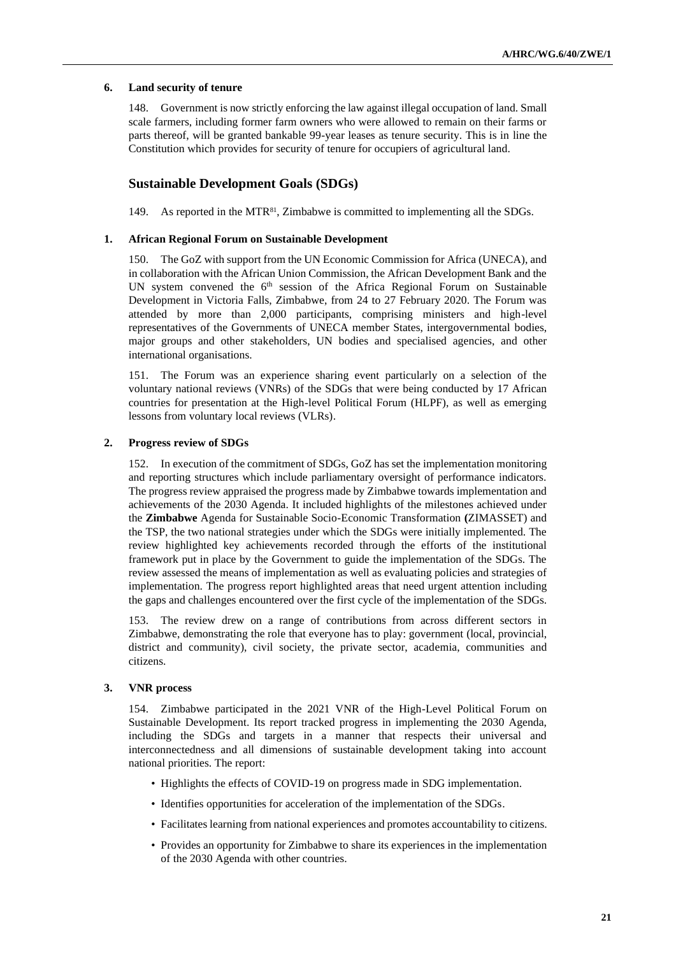## **6. Land security of tenure**

148. Government is now strictly enforcing the law against illegal occupation of land. Small scale farmers, including former farm owners who were allowed to remain on their farms or parts thereof, will be granted bankable 99-year leases as tenure security. This is in line the Constitution which provides for security of tenure for occupiers of agricultural land.

# **Sustainable Development Goals (SDGs)**

149. As reported in the MTR81, Zimbabwe is committed to implementing all the SDGs.

### **1. African Regional Forum on Sustainable Development**

150. The GoZ with support from the UN Economic Commission for Africa (UNECA), and in collaboration with the African Union Commission, the African Development Bank and the UN system convened the  $6<sup>th</sup>$  session of the Africa Regional Forum on Sustainable Development in Victoria Falls, Zimbabwe, from 24 to 27 February 2020. The Forum was attended by more than 2,000 participants, comprising ministers and high-level representatives of the Governments of UNECA member States, intergovernmental bodies, major groups and other stakeholders, UN bodies and specialised agencies, and other international organisations.

151. The Forum was an experience sharing event particularly on a selection of the voluntary national reviews (VNRs) of the SDGs that were being conducted by 17 African countries for presentation at the High-level Political Forum (HLPF), as well as emerging lessons from voluntary local reviews (VLRs).

## **2. Progress review of SDGs**

152. In execution of the commitment of SDGs, GoZ has set the implementation monitoring and reporting structures which include parliamentary oversight of performance indicators. The progress review appraised the progress made by Zimbabwe towards implementation and achievements of the 2030 Agenda. It included highlights of the milestones achieved under the **Zimbabwe** Agenda for Sustainable Socio-Economic Transformation **(**ZIMASSET) and the TSP, the two national strategies under which the SDGs were initially implemented. The review highlighted key achievements recorded through the efforts of the institutional framework put in place by the Government to guide the implementation of the SDGs. The review assessed the means of implementation as well as evaluating policies and strategies of implementation. The progress report highlighted areas that need urgent attention including the gaps and challenges encountered over the first cycle of the implementation of the SDGs.

153. The review drew on a range of contributions from across different sectors in Zimbabwe, demonstrating the role that everyone has to play: government (local, provincial, district and community), civil society, the private sector, academia, communities and citizens.

### **3. VNR process**

154. Zimbabwe participated in the 2021 VNR of the High-Level Political Forum on Sustainable Development. Its report tracked progress in implementing the 2030 Agenda, including the SDGs and targets in a manner that respects their universal and interconnectedness and all dimensions of sustainable development taking into account national priorities. The report:

- Highlights the effects of COVID-19 on progress made in SDG implementation.
- Identifies opportunities for acceleration of the implementation of the SDGs.
- Facilitates learning from national experiences and promotes accountability to citizens.
- Provides an opportunity for Zimbabwe to share its experiences in the implementation of the 2030 Agenda with other countries.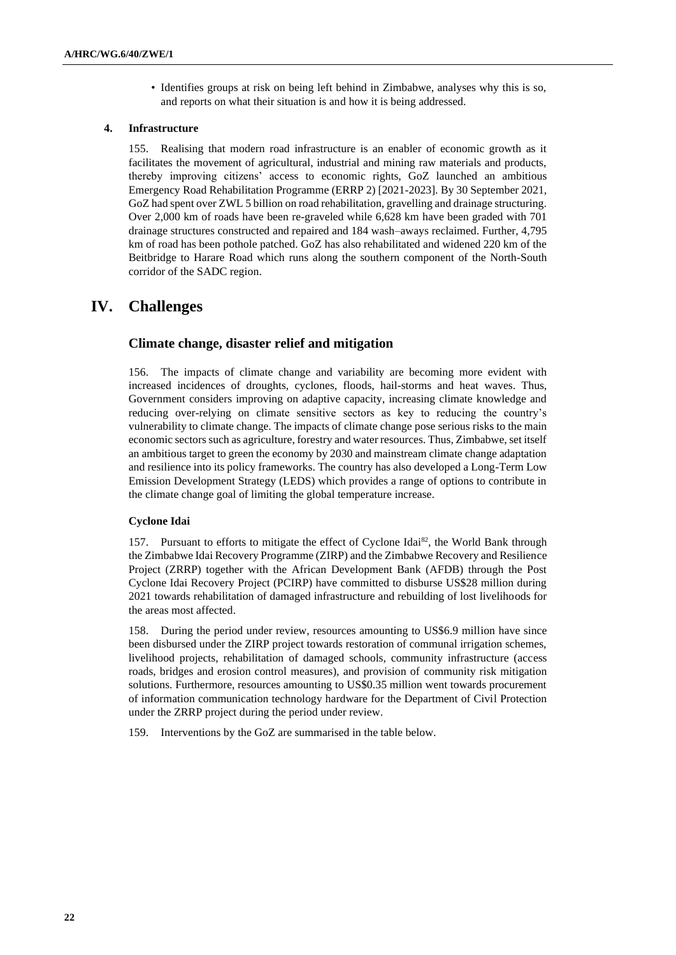• Identifies groups at risk on being left behind in Zimbabwe, analyses why this is so, and reports on what their situation is and how it is being addressed.

### **4. Infrastructure**

155. Realising that modern road infrastructure is an enabler of economic growth as it facilitates the movement of agricultural, industrial and mining raw materials and products, thereby improving citizens' access to economic rights, GoZ launched an ambitious Emergency Road Rehabilitation Programme (ERRP 2) [2021-2023]. By 30 September 2021, GoZ had spent over ZWL 5 billion on road rehabilitation, gravelling and drainage structuring. Over 2,000 km of roads have been re-graveled while 6,628 km have been graded with 701 drainage structures constructed and repaired and 184 wash–aways reclaimed. Further, 4,795 km of road has been pothole patched. GoZ has also rehabilitated and widened 220 km of the Beitbridge to Harare Road which runs along the southern component of the North-South corridor of the SADC region.

# **IV. Challenges**

# **Climate change, disaster relief and mitigation**

156. The impacts of climate change and variability are becoming more evident with increased incidences of droughts, cyclones, floods, hail-storms and heat waves. Thus, Government considers improving on adaptive capacity, increasing climate knowledge and reducing over-relying on climate sensitive sectors as key to reducing the country's vulnerability to climate change. The impacts of climate change pose serious risks to the main economic sectors such as agriculture, forestry and water resources. Thus, Zimbabwe, set itself an ambitious target to green the economy by 2030 and mainstream climate change adaptation and resilience into its policy frameworks. The country has also developed a Long-Term Low Emission Development Strategy (LEDS) which provides a range of options to contribute in the climate change goal of limiting the global temperature increase.

### **Cyclone Idai**

157. Pursuant to efforts to mitigate the effect of Cyclone Idai<sup>82</sup>, the World Bank through the Zimbabwe Idai Recovery Programme (ZIRP) and the Zimbabwe Recovery and Resilience Project (ZRRP) together with the African Development Bank (AFDB) through the Post Cyclone Idai Recovery Project (PCIRP) have committed to disburse US\$28 million during 2021 towards rehabilitation of damaged infrastructure and rebuilding of lost livelihoods for the areas most affected.

158. During the period under review, resources amounting to US\$6.9 million have since been disbursed under the ZIRP project towards restoration of communal irrigation schemes, livelihood projects, rehabilitation of damaged schools, community infrastructure (access roads, bridges and erosion control measures), and provision of community risk mitigation solutions. Furthermore, resources amounting to US\$0.35 million went towards procurement of information communication technology hardware for the Department of Civil Protection under the ZRRP project during the period under review.

159. Interventions by the GoZ are summarised in the table below.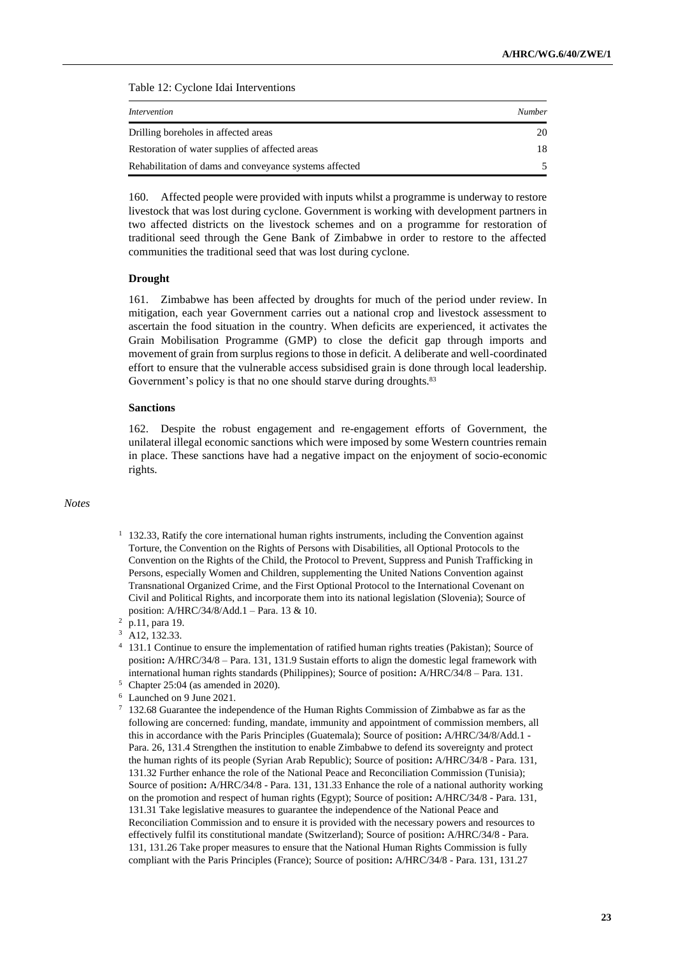Table 12: Cyclone Idai Interventions

| Intervention                                           | <b>Number</b> |
|--------------------------------------------------------|---------------|
| Drilling boreholes in affected areas                   | 20            |
| Restoration of water supplies of affected areas        | 18            |
| Rehabilitation of dams and conveyance systems affected |               |

160. Affected people were provided with inputs whilst a programme is underway to restore livestock that was lost during cyclone. Government is working with development partners in two affected districts on the livestock schemes and on a programme for restoration of traditional seed through the Gene Bank of Zimbabwe in order to restore to the affected communities the traditional seed that was lost during cyclone.

#### **Drought**

161. Zimbabwe has been affected by droughts for much of the period under review. In mitigation, each year Government carries out a national crop and livestock assessment to ascertain the food situation in the country. When deficits are experienced, it activates the Grain Mobilisation Programme (GMP) to close the deficit gap through imports and movement of grain from surplus regions to those in deficit. A deliberate and well-coordinated effort to ensure that the vulnerable access subsidised grain is done through local leadership. Government's policy is that no one should starve during droughts.<sup>83</sup>

#### **Sanctions**

162. Despite the robust engagement and re-engagement efforts of Government, the unilateral illegal economic sanctions which were imposed by some Western countries remain in place. These sanctions have had a negative impact on the enjoyment of socio-economic rights.

# *Notes*

 $1\quad132.33$ , Ratify the core international human rights instruments, including the Convention against Torture, the Convention on the Rights of Persons with Disabilities, all Optional Protocols to the Convention on the Rights of the Child, the Protocol to Prevent, Suppress and Punish Trafficking in Persons, especially Women and Children, supplementing the United Nations Convention against Transnational Organized Crime, and the First Optional Protocol to the International Covenant on Civil and Political Rights, and incorporate them into its national legislation (Slovenia); Source of position: A/HRC/34/8/Add.1 – Para. 13 & 10.

- <sup>4</sup> 131.1 Continue to ensure the implementation of ratified human rights treaties (Pakistan); Source of position**:** A/HRC/34/8 – Para. 131, 131.9 Sustain efforts to align the domestic legal framework with international human rights standards (Philippines); Source of position**:** A/HRC/34/8 – Para. 131.
- $5$  Chapter 25:04 (as amended in 2020).
- <sup>6</sup> Launched on 9 June 2021.
- <sup>7</sup> 132.68 Guarantee the independence of the Human Rights Commission of Zimbabwe as far as the following are concerned: funding, mandate, immunity and appointment of commission members, all this in accordance with the Paris Principles (Guatemala); Source of position**:** A/HRC/34/8/Add.1 - Para. 26, 131.4 Strengthen the institution to enable Zimbabwe to defend its sovereignty and protect the human rights of its people (Syrian Arab Republic); Source of position**:** A/HRC/34/8 - Para. 131, 131.32 Further enhance the role of the National Peace and Reconciliation Commission (Tunisia); Source of position**:** A/HRC/34/8 - Para. 131, 131.33 Enhance the role of a national authority working on the promotion and respect of human rights (Egypt); Source of position**:** A/HRC/34/8 - Para. 131, 131.31 Take legislative measures to guarantee the independence of the National Peace and Reconciliation Commission and to ensure it is provided with the necessary powers and resources to effectively fulfil its constitutional mandate (Switzerland); Source of position**:** A/HRC/34/8 - Para. 131, 131.26 Take proper measures to ensure that the National Human Rights Commission is fully compliant with the Paris Principles (France); Source of position**:** A/HRC/34/8 - Para. 131, 131.27

<sup>2</sup> p.11, para 19.

<sup>&</sup>lt;sup>3</sup> A12, 132.33.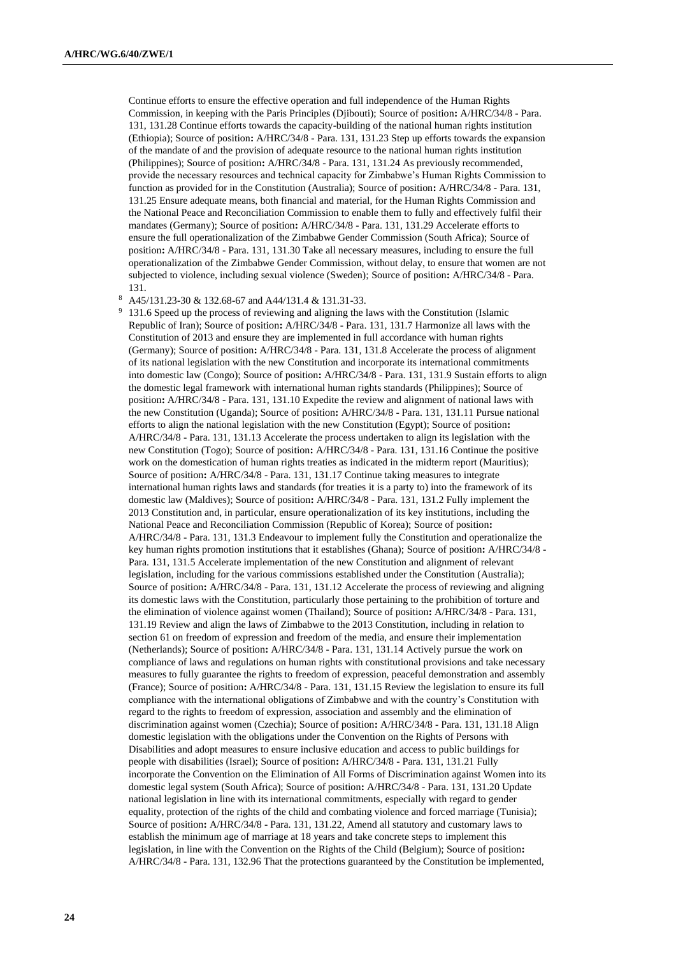Continue efforts to ensure the effective operation and full independence of the Human Rights Commission, in keeping with the Paris Principles (Djibouti); Source of position**:** A/HRC/34/8 - Para. 131, 131.28 Continue efforts towards the capacity-building of the national human rights institution (Ethiopia); Source of position**:** A/HRC/34/8 - Para. 131, 131.23 Step up efforts towards the expansion of the mandate of and the provision of adequate resource to the national human rights institution (Philippines); Source of position**:** A/HRC/34/8 - Para. 131, 131.24 As previously recommended, provide the necessary resources and technical capacity for Zimbabwe's Human Rights Commission to function as provided for in the Constitution (Australia); Source of position**:** A/HRC/34/8 - Para. 131, 131.25 Ensure adequate means, both financial and material, for the Human Rights Commission and the National Peace and Reconciliation Commission to enable them to fully and effectively fulfil their mandates (Germany); Source of position**:** A/HRC/34/8 - Para. 131, 131.29 Accelerate efforts to ensure the full operationalization of the Zimbabwe Gender Commission (South Africa); Source of position**:** A/HRC/34/8 - Para. 131, 131.30 Take all necessary measures, including to ensure the full operationalization of the Zimbabwe Gender Commission, without delay, to ensure that women are not subjected to violence, including sexual violence (Sweden); Source of position**:** A/HRC/34/8 - Para. 131.

<sup>8</sup> A45/131.23-30 & 132.68-67 and A44/131.4 & 131.31-33.

131.6 Speed up the process of reviewing and aligning the laws with the Constitution (Islamic Republic of Iran); Source of position**:** A/HRC/34/8 - Para. 131, 131.7 Harmonize all laws with the Constitution of 2013 and ensure they are implemented in full accordance with human rights (Germany); Source of position**:** A/HRC/34/8 - Para. 131, 131.8 Accelerate the process of alignment of its national legislation with the new Constitution and incorporate its international commitments into domestic law (Congo); Source of position**:** A/HRC/34/8 - Para. 131, 131.9 Sustain efforts to align the domestic legal framework with international human rights standards (Philippines); Source of position**:** A/HRC/34/8 - Para. 131, 131.10 Expedite the review and alignment of national laws with the new Constitution (Uganda); Source of position**:** A/HRC/34/8 - Para. 131, 131.11 Pursue national efforts to align the national legislation with the new Constitution (Egypt); Source of position**:** A/HRC/34/8 - Para. 131, 131.13 Accelerate the process undertaken to align its legislation with the new Constitution (Togo); Source of position**:** A/HRC/34/8 - Para. 131, 131.16 Continue the positive work on the domestication of human rights treaties as indicated in the midterm report (Mauritius); Source of position**:** A/HRC/34/8 - Para. 131, 131.17 Continue taking measures to integrate international human rights laws and standards (for treaties it is a party to) into the framework of its domestic law (Maldives); Source of position**:** A/HRC/34/8 - Para. 131, 131.2 Fully implement the 2013 Constitution and, in particular, ensure operationalization of its key institutions, including the National Peace and Reconciliation Commission (Republic of Korea); Source of position**:** A/HRC/34/8 - Para. 131, 131.3 Endeavour to implement fully the Constitution and operationalize the key human rights promotion institutions that it establishes (Ghana); Source of position**:** A/HRC/34/8 - Para. 131, 131.5 Accelerate implementation of the new Constitution and alignment of relevant legislation, including for the various commissions established under the Constitution (Australia); Source of position**:** A/HRC/34/8 - Para. 131, 131.12 Accelerate the process of reviewing and aligning its domestic laws with the Constitution, particularly those pertaining to the prohibition of torture and the elimination of violence against women (Thailand); Source of position**:** A/HRC/34/8 - Para. 131, 131.19 Review and align the laws of Zimbabwe to the 2013 Constitution, including in relation to section 61 on freedom of expression and freedom of the media, and ensure their implementation (Netherlands); Source of position**:** A/HRC/34/8 - Para. 131, 131.14 Actively pursue the work on compliance of laws and regulations on human rights with constitutional provisions and take necessary measures to fully guarantee the rights to freedom of expression, peaceful demonstration and assembly (France); Source of position**:** A/HRC/34/8 - Para. 131, 131.15 Review the legislation to ensure its full compliance with the international obligations of Zimbabwe and with the country's Constitution with regard to the rights to freedom of expression, association and assembly and the elimination of discrimination against women (Czechia); Source of position**:** A/HRC/34/8 - Para. 131, 131.18 Align domestic legislation with the obligations under the Convention on the Rights of Persons with Disabilities and adopt measures to ensure inclusive education and access to public buildings for people with disabilities (Israel); Source of position**:** A/HRC/34/8 - Para. 131, 131.21 Fully incorporate the Convention on the Elimination of All Forms of Discrimination against Women into its domestic legal system (South Africa); Source of position**:** A/HRC/34/8 - Para. 131, 131.20 Update national legislation in line with its international commitments, especially with regard to gender equality, protection of the rights of the child and combating violence and forced marriage (Tunisia); Source of position**:** A/HRC/34/8 - Para. 131, 131.22, Amend all statutory and customary laws to establish the minimum age of marriage at 18 years and take concrete steps to implement this legislation, in line with the Convention on the Rights of the Child (Belgium); Source of position**:** A/HRC/34/8 - Para. 131, 132.96 That the protections guaranteed by the Constitution be implemented,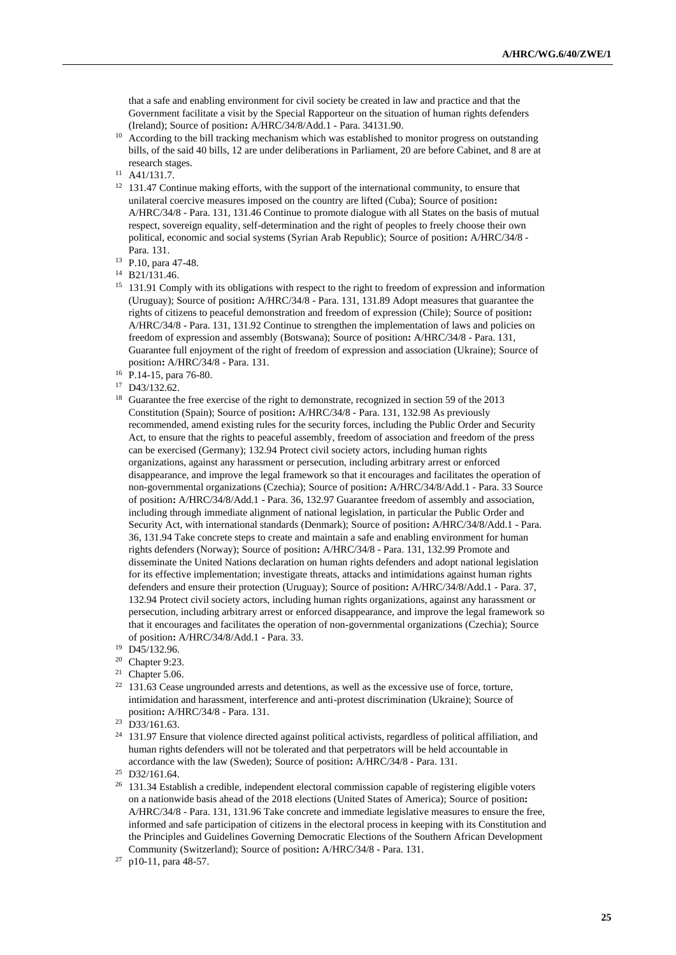that a safe and enabling environment for civil society be created in law and practice and that the Government facilitate a visit by the Special Rapporteur on the situation of human rights defenders (Ireland); Source of position**:** A/HRC/34/8/Add.1 - Para. 34131.90.

- <sup>10</sup> According to the bill tracking mechanism which was established to monitor progress on outstanding bills, of the said 40 bills, 12 are under deliberations in Parliament, 20 are before Cabinet, and 8 are at research stages.
- <sup>11</sup> A41/131.7.
- $12$  131.47 Continue making efforts, with the support of the international community, to ensure that unilateral coercive measures imposed on the country are lifted (Cuba); Source of position**:** A/HRC/34/8 - Para. 131, 131.46 Continue to promote dialogue with all States on the basis of mutual respect, sovereign equality, self-determination and the right of peoples to freely choose their own political, economic and social systems (Syrian Arab Republic); Source of position**:** A/HRC/34/8 - Para. 131.
- <sup>13</sup> P.10, para 47-48.
- <sup>14</sup> B21/131.46.
- <sup>15</sup> 131.91 Comply with its obligations with respect to the right to freedom of expression and information (Uruguay); Source of position**:** A/HRC/34/8 - Para. 131, 131.89 Adopt measures that guarantee the rights of citizens to peaceful demonstration and freedom of expression (Chile); Source of position**:** A/HRC/34/8 - Para. 131, 131.92 Continue to strengthen the implementation of laws and policies on freedom of expression and assembly (Botswana); Source of position**:** A/HRC/34/8 - Para. 131, Guarantee full enjoyment of the right of freedom of expression and association (Ukraine); Source of position**:** A/HRC/34/8 - Para. 131.
- <sup>16</sup> P.14-15, para 76-80.
- <sup>17</sup> D43/132.62.
- <sup>18</sup> Guarantee the free exercise of the right to demonstrate, recognized in section 59 of the 2013 Constitution (Spain); Source of position**:** A/HRC/34/8 - Para. 131, 132.98 As previously recommended, amend existing rules for the security forces, including the Public Order and Security Act, to ensure that the rights to peaceful assembly, freedom of association and freedom of the press can be exercised (Germany); 132.94 Protect civil society actors, including human rights organizations, against any harassment or persecution, including arbitrary arrest or enforced disappearance, and improve the legal framework so that it encourages and facilitates the operation of non-governmental organizations (Czechia); Source of position**:** A/HRC/34/8/Add.1 - Para. 33 Source of position**:** A/HRC/34/8/Add.1 - Para. 36, 132.97 Guarantee freedom of assembly and association, including through immediate alignment of national legislation, in particular the Public Order and Security Act, with international standards (Denmark); Source of position**:** A/HRC/34/8/Add.1 - Para. 36, 131.94 Take concrete steps to create and maintain a safe and enabling environment for human rights defenders (Norway); Source of position**:** A/HRC/34/8 - Para. 131, 132.99 Promote and disseminate the United Nations declaration on human rights defenders and adopt national legislation for its effective implementation; investigate threats, attacks and intimidations against human rights defenders and ensure their protection (Uruguay); Source of position**:** A/HRC/34/8/Add.1 - Para. 37, 132.94 Protect civil society actors, including human rights organizations, against any harassment or persecution, including arbitrary arrest or enforced disappearance, and improve the legal framework so that it encourages and facilitates the operation of non-governmental organizations (Czechia); Source of position**:** A/HRC/34/8/Add.1 - Para. 33.
- <sup>19</sup> D45/132.96.
- <sup>20</sup> Chapter 9:23.
- <sup>21</sup> Chapter 5.06.
- <sup>22</sup> 131.63 Cease ungrounded arrests and detentions, as well as the excessive use of force, torture, intimidation and harassment, interference and anti-protest discrimination (Ukraine); Source of position**:** A/HRC/34/8 - Para. 131.
- <sup>23</sup> D33/161.63.
- <sup>24</sup> 131.97 Ensure that violence directed against political activists, regardless of political affiliation, and human rights defenders will not be tolerated and that perpetrators will be held accountable in accordance with the law (Sweden); Source of position**:** A/HRC/34/8 - Para. 131.

<sup>26</sup> 131.34 Establish a credible, independent electoral commission capable of registering eligible voters on a nationwide basis ahead of the 2018 elections (United States of America); Source of position**:** A/HRC/34/8 - Para. 131, 131.96 Take concrete and immediate legislative measures to ensure the free, informed and safe participation of citizens in the electoral process in keeping with its Constitution and the Principles and Guidelines Governing Democratic Elections of the Southern African Development Community (Switzerland); Source of position**:** A/HRC/34/8 - Para. 131.

<sup>25</sup> D32/161.64.

<sup>27</sup> p10-11, para 48-57.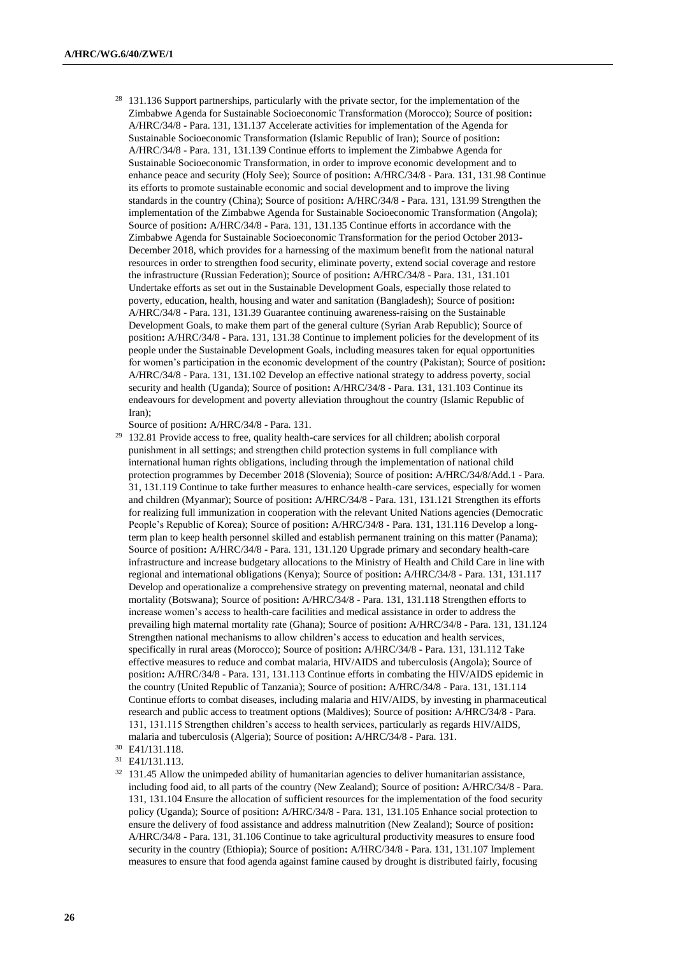<sup>28</sup> 131.136 Support partnerships, particularly with the private sector, for the implementation of the Zimbabwe Agenda for Sustainable Socioeconomic Transformation (Morocco); Source of position**:** A/HRC/34/8 - Para. 131, 131.137 Accelerate activities for implementation of the Agenda for Sustainable Socioeconomic Transformation (Islamic Republic of Iran); Source of position**:** A/HRC/34/8 - Para. 131, 131.139 Continue efforts to implement the Zimbabwe Agenda for Sustainable Socioeconomic Transformation, in order to improve economic development and to enhance peace and security (Holy See); Source of position**:** A/HRC/34/8 - Para. 131, 131.98 Continue its efforts to promote sustainable economic and social development and to improve the living standards in the country (China); Source of position**:** A/HRC/34/8 - Para. 131, 131.99 Strengthen the implementation of the Zimbabwe Agenda for Sustainable Socioeconomic Transformation (Angola); Source of position**:** A/HRC/34/8 - Para. 131, 131.135 Continue efforts in accordance with the Zimbabwe Agenda for Sustainable Socioeconomic Transformation for the period October 2013- December 2018, which provides for a harnessing of the maximum benefit from the national natural resources in order to strengthen food security, eliminate poverty, extend social coverage and restore the infrastructure (Russian Federation); Source of position**:** A/HRC/34/8 - Para. 131, 131.101 Undertake efforts as set out in the Sustainable Development Goals, especially those related to poverty, education, health, housing and water and sanitation (Bangladesh); Source of position**:** A/HRC/34/8 - Para. 131, 131.39 Guarantee continuing awareness-raising on the Sustainable Development Goals, to make them part of the general culture (Syrian Arab Republic); Source of position**:** A/HRC/34/8 - Para. 131, 131.38 Continue to implement policies for the development of its people under the Sustainable Development Goals, including measures taken for equal opportunities for women's participation in the economic development of the country (Pakistan); Source of position**:** A/HRC/34/8 - Para. 131, 131.102 Develop an effective national strategy to address poverty, social security and health (Uganda); Source of position**:** A/HRC/34/8 - Para. 131, 131.103 Continue its endeavours for development and poverty alleviation throughout the country (Islamic Republic of Iran);

Source of position**:** A/HRC/34/8 - Para. 131.

- <sup>29</sup> 132.81 Provide access to free, quality health-care services for all children; abolish corporal punishment in all settings; and strengthen child protection systems in full compliance with international human rights obligations, including through the implementation of national child protection programmes by December 2018 (Slovenia); Source of position**:** A/HRC/34/8/Add.1 - Para. 31, 131.119 Continue to take further measures to enhance health-care services, especially for women and children (Myanmar); Source of position**:** A/HRC/34/8 - Para. 131, 131.121 Strengthen its efforts for realizing full immunization in cooperation with the relevant United Nations agencies (Democratic People's Republic of Korea); Source of position**:** A/HRC/34/8 - Para. 131, 131.116 Develop a longterm plan to keep health personnel skilled and establish permanent training on this matter (Panama); Source of position**:** A/HRC/34/8 - Para. 131, 131.120 Upgrade primary and secondary health-care infrastructure and increase budgetary allocations to the Ministry of Health and Child Care in line with regional and international obligations (Kenya); Source of position**:** A/HRC/34/8 - Para. 131, 131.117 Develop and operationalize a comprehensive strategy on preventing maternal, neonatal and child mortality (Botswana); Source of position**:** A/HRC/34/8 - Para. 131, 131.118 Strengthen efforts to increase women's access to health-care facilities and medical assistance in order to address the prevailing high maternal mortality rate (Ghana); Source of position**:** A/HRC/34/8 - Para. 131, 131.124 Strengthen national mechanisms to allow children's access to education and health services, specifically in rural areas (Morocco); Source of position**:** A/HRC/34/8 - Para. 131, 131.112 Take effective measures to reduce and combat malaria, HIV/AIDS and tuberculosis (Angola); Source of position**:** A/HRC/34/8 - Para. 131, 131.113 Continue efforts in combating the HIV/AIDS epidemic in the country (United Republic of Tanzania); Source of position**:** A/HRC/34/8 - Para. 131, 131.114 Continue efforts to combat diseases, including malaria and HIV/AIDS, by investing in pharmaceutical research and public access to treatment options (Maldives); Source of position**:** A/HRC/34/8 - Para. 131, 131.115 Strengthen children's access to health services, particularly as regards HIV/AIDS, malaria and tuberculosis (Algeria); Source of position**:** A/HRC/34/8 - Para. 131.
- <sup>30</sup> E41/131.118.

<sup>31</sup> E41/131.113.

 $32$  131.45 Allow the unimpeded ability of humanitarian agencies to deliver humanitarian assistance, including food aid, to all parts of the country (New Zealand); Source of position**:** A/HRC/34/8 - Para. 131, 131.104 Ensure the allocation of sufficient resources for the implementation of the food security policy (Uganda); Source of position**:** A/HRC/34/8 - Para. 131, 131.105 Enhance social protection to ensure the delivery of food assistance and address malnutrition (New Zealand); Source of position**:** A/HRC/34/8 - Para. 131, 31.106 Continue to take agricultural productivity measures to ensure food security in the country (Ethiopia); Source of position**:** A/HRC/34/8 - Para. 131, 131.107 Implement measures to ensure that food agenda against famine caused by drought is distributed fairly, focusing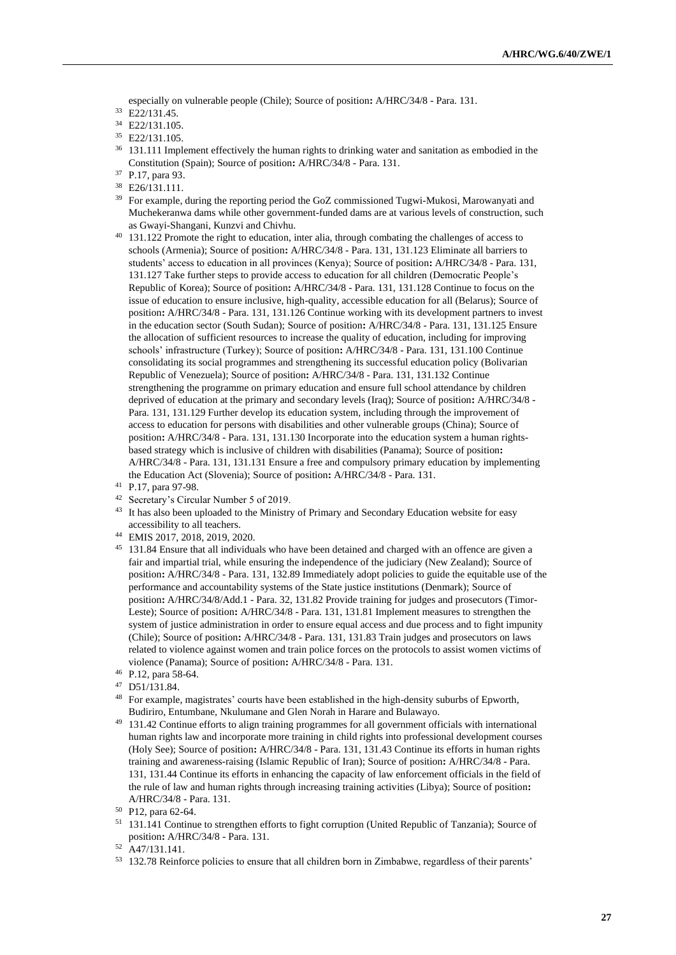especially on vulnerable people (Chile); Source of position**:** A/HRC/34/8 - Para. 131.

<sup>33</sup> E22/131.45.

- <sup>34</sup> E22/131.105.
- <sup>35</sup> E22/131.105.
- <sup>36</sup> 131.111 Implement effectively the human rights to drinking water and sanitation as embodied in the Constitution (Spain); Source of position**:** A/HRC/34/8 - Para. 131.
- <sup>37</sup> P.17, para 93.
- <sup>38</sup> E26/131.111.
- <sup>39</sup> For example, during the reporting period the GoZ commissioned Tugwi-Mukosi, Marowanyati and Muchekeranwa dams while other government-funded dams are at various levels of construction, such as Gwayi-Shangani, Kunzvi and Chivhu.
- <sup>40</sup> 131.122 Promote the right to education, inter alia, through combating the challenges of access to schools (Armenia); Source of position**:** A/HRC/34/8 - Para. 131, 131.123 Eliminate all barriers to students' access to education in all provinces (Kenya); Source of position**:** A/HRC/34/8 - Para. 131, 131.127 Take further steps to provide access to education for all children (Democratic People's Republic of Korea); Source of position**:** A/HRC/34/8 - Para. 131, 131.128 Continue to focus on the issue of education to ensure inclusive, high-quality, accessible education for all (Belarus); Source of position**:** A/HRC/34/8 - Para. 131, 131.126 Continue working with its development partners to invest in the education sector (South Sudan); Source of position**:** A/HRC/34/8 - Para. 131, 131.125 Ensure the allocation of sufficient resources to increase the quality of education, including for improving schools' infrastructure (Turkey); Source of position**:** A/HRC/34/8 - Para. 131, 131.100 Continue consolidating its social programmes and strengthening its successful education policy (Bolivarian Republic of Venezuela); Source of position**:** A/HRC/34/8 - Para. 131, 131.132 Continue strengthening the programme on primary education and ensure full school attendance by children deprived of education at the primary and secondary levels (Iraq); Source of position**:** A/HRC/34/8 - Para. 131, 131.129 Further develop its education system, including through the improvement of access to education for persons with disabilities and other vulnerable groups (China); Source of position**:** A/HRC/34/8 - Para. 131, 131.130 Incorporate into the education system a human rightsbased strategy which is inclusive of children with disabilities (Panama); Source of position**:** A/HRC/34/8 - Para. 131, 131.131 Ensure a free and compulsory primary education by implementing the Education Act (Slovenia); Source of position**:** A/HRC/34/8 - Para. 131.
- <sup>41</sup> P.17, para 97-98.
- <sup>42</sup> Secretary's Circular Number 5 of 2019.
- <sup>43</sup> It has also been uploaded to the Ministry of Primary and Secondary Education website for easy accessibility to all teachers.
- <sup>44</sup> EMIS 2017, 2018, 2019, 2020.
- <sup>45</sup> 131.84 Ensure that all individuals who have been detained and charged with an offence are given a fair and impartial trial, while ensuring the independence of the judiciary (New Zealand); Source of position**:** A/HRC/34/8 - Para. 131, 132.89 Immediately adopt policies to guide the equitable use of the performance and accountability systems of the State justice institutions (Denmark); Source of position**:** A/HRC/34/8/Add.1 - Para. 32, 131.82 Provide training for judges and prosecutors (Timor-Leste); Source of position**:** A/HRC/34/8 - Para. 131, 131.81 Implement measures to strengthen the system of justice administration in order to ensure equal access and due process and to fight impunity (Chile); Source of position**:** A/HRC/34/8 - Para. 131, 131.83 Train judges and prosecutors on laws related to violence against women and train police forces on the protocols to assist women victims of violence (Panama); Source of position**:** A/HRC/34/8 - Para. 131.

- <sup>47</sup> D51/131.84.
- <sup>48</sup> For example, magistrates' courts have been established in the high-density suburbs of Epworth, Budiriro, Entumbane, Nkulumane and Glen Norah in Harare and Bulawayo.
- <sup>49</sup> 131.42 Continue efforts to align training programmes for all government officials with international human rights law and incorporate more training in child rights into professional development courses (Holy See); Source of position**:** A/HRC/34/8 - Para. 131, 131.43 Continue its efforts in human rights training and awareness-raising (Islamic Republic of Iran); Source of position**:** A/HRC/34/8 - Para. 131, 131.44 Continue its efforts in enhancing the capacity of law enforcement officials in the field of the rule of law and human rights through increasing training activities (Libya); Source of position**:** A/HRC/34/8 - Para. 131.

<sup>51</sup> 131.141 Continue to strengthen efforts to fight corruption (United Republic of Tanzania); Source of position**:** A/HRC/34/8 - Para. 131.

<sup>46</sup> P.12, para 58-64.

<sup>50</sup> P12, para 62-64.

<sup>52</sup> A47/131.141.

<sup>53</sup> 132.78 Reinforce policies to ensure that all children born in Zimbabwe, regardless of their parents'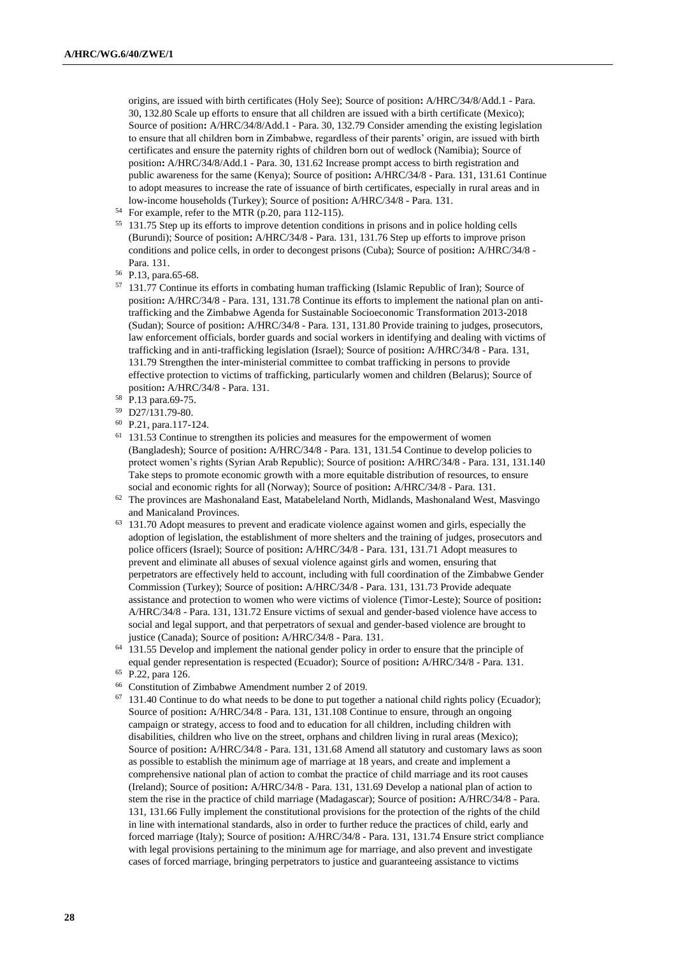origins, are issued with birth certificates (Holy See); Source of position**:** A/HRC/34/8/Add.1 - Para. 30, 132.80 Scale up efforts to ensure that all children are issued with a birth certificate (Mexico); Source of position**:** A/HRC/34/8/Add.1 - Para. 30, 132.79 Consider amending the existing legislation to ensure that all children born in Zimbabwe, regardless of their parents' origin, are issued with birth certificates and ensure the paternity rights of children born out of wedlock (Namibia); Source of position**:** A/HRC/34/8/Add.1 - Para. 30, 131.62 Increase prompt access to birth registration and public awareness for the same (Kenya); Source of position**:** A/HRC/34/8 - Para. 131, 131.61 Continue to adopt measures to increase the rate of issuance of birth certificates, especially in rural areas and in low-income households (Turkey); Source of position**:** A/HRC/34/8 - Para. 131.

- <sup>54</sup> For example, refer to the MTR (p.20, para 112-115).
- <sup>55</sup> 131.75 Step up its efforts to improve detention conditions in prisons and in police holding cells (Burundi); Source of position**:** A/HRC/34/8 - Para. 131, 131.76 Step up efforts to improve prison conditions and police cells, in order to decongest prisons (Cuba); Source of position**:** A/HRC/34/8 - Para. 131.
- <sup>56</sup> P.13, para.65-68.
- 57 131.77 Continue its efforts in combating human trafficking (Islamic Republic of Iran); Source of position**:** A/HRC/34/8 - Para. 131, 131.78 Continue its efforts to implement the national plan on antitrafficking and the Zimbabwe Agenda for Sustainable Socioeconomic Transformation 2013-2018 (Sudan); Source of position**:** A/HRC/34/8 - Para. 131, 131.80 Provide training to judges, prosecutors, law enforcement officials, border guards and social workers in identifying and dealing with victims of trafficking and in anti-trafficking legislation (Israel); Source of position**:** A/HRC/34/8 - Para. 131, 131.79 Strengthen the inter-ministerial committee to combat trafficking in persons to provide effective protection to victims of trafficking, particularly women and children (Belarus); Source of position**:** A/HRC/34/8 - Para. 131.
- <sup>58</sup> P.13 para.69-75.
- <sup>59</sup> D27/131.79-80.
- <sup>60</sup> P.21, para.117-124.
- <sup>61</sup> 131.53 Continue to strengthen its policies and measures for the empowerment of women (Bangladesh); Source of position**:** A/HRC/34/8 - Para. 131, 131.54 Continue to develop policies to protect women's rights (Syrian Arab Republic); Source of position**:** A/HRC/34/8 - Para. 131, 131.140 Take steps to promote economic growth with a more equitable distribution of resources, to ensure social and economic rights for all (Norway); Source of position**:** A/HRC/34/8 - Para. 131.
- $62$  The provinces are Mashonaland East, Matabeleland North, Midlands, Mashonaland West, Masvingo and Manicaland Provinces.
- <sup>63</sup> 131.70 Adopt measures to prevent and eradicate violence against women and girls, especially the adoption of legislation, the establishment of more shelters and the training of judges, prosecutors and police officers (Israel); Source of position**:** A/HRC/34/8 - Para. 131, 131.71 Adopt measures to prevent and eliminate all abuses of sexual violence against girls and women, ensuring that perpetrators are effectively held to account, including with full coordination of the Zimbabwe Gender Commission (Turkey); Source of position**:** A/HRC/34/8 - Para. 131, 131.73 Provide adequate assistance and protection to women who were victims of violence (Timor-Leste); Source of position**:** A/HRC/34/8 - Para. 131, 131.72 Ensure victims of sexual and gender-based violence have access to social and legal support, and that perpetrators of sexual and gender-based violence are brought to justice (Canada); Source of position**:** A/HRC/34/8 - Para. 131.
- <sup>64</sup> 131.55 Develop and implement the national gender policy in order to ensure that the principle of equal gender representation is respected (Ecuador); Source of position**:** A/HRC/34/8 - Para. 131.
- <sup>65</sup> P.22, para 126.
- <sup>66</sup> Constitution of Zimbabwe Amendment number 2 of 2019.
- $67$  131.40 Continue to do what needs to be done to put together a national child rights policy (Ecuador); Source of position**:** A/HRC/34/8 - Para. 131, 131.108 Continue to ensure, through an ongoing campaign or strategy, access to food and to education for all children, including children with disabilities, children who live on the street, orphans and children living in rural areas (Mexico); Source of position**:** A/HRC/34/8 - Para. 131, 131.68 Amend all statutory and customary laws as soon as possible to establish the minimum age of marriage at 18 years, and create and implement a comprehensive national plan of action to combat the practice of child marriage and its root causes (Ireland); Source of position**:** A/HRC/34/8 - Para. 131, 131.69 Develop a national plan of action to stem the rise in the practice of child marriage (Madagascar); Source of position**:** A/HRC/34/8 - Para. 131, 131.66 Fully implement the constitutional provisions for the protection of the rights of the child in line with international standards, also in order to further reduce the practices of child, early and forced marriage (Italy); Source of position**:** A/HRC/34/8 - Para. 131, 131.74 Ensure strict compliance with legal provisions pertaining to the minimum age for marriage, and also prevent and investigate cases of forced marriage, bringing perpetrators to justice and guaranteeing assistance to victims